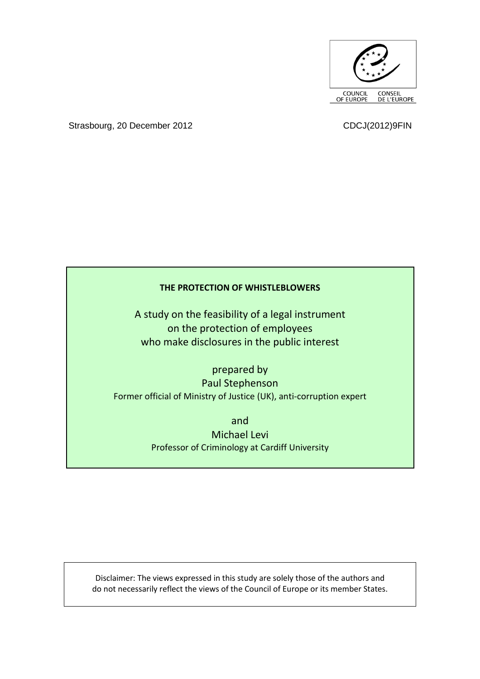

Strasbourg, 20 December 2012 CDCJ(2012)9FIN

# **THE PROTECTION OF WHISTLEBLOWERS**

A study on the feasibility of a legal instrument on the protection of employees who make disclosures in the public interest

prepared by Paul Stephenson Former official of Ministry of Justice (UK), anti-corruption expert

> and Michael Levi Professor of Criminology at Cardiff University

Disclaimer: The views expressed in this study are solely those of the authors and do not necessarily reflect the views of the Council of Europe or its member States.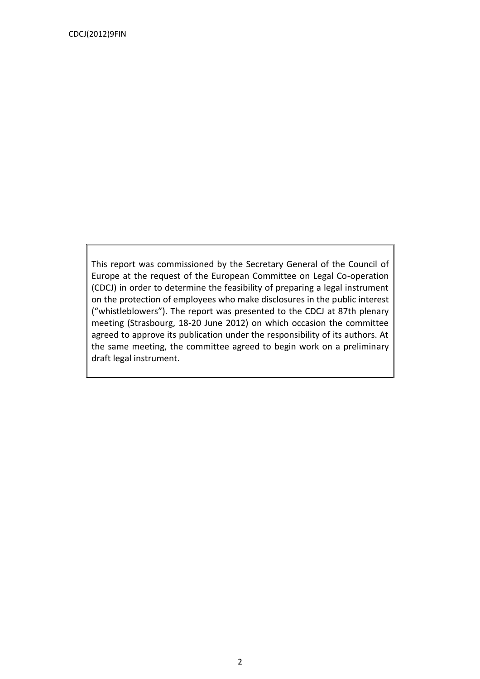This report was commissioned by the Secretary General of the Council of Europe at the request of the European Committee on Legal Co-operation (CDCJ) in order to determine the feasibility of preparing a legal instrument on the protection of employees who make disclosures in the public interest ("whistleblowers"). The report was presented to the CDCJ at 87th plenary meeting (Strasbourg, 18-20 June 2012) on which occasion the committee agreed to approve its publication under the responsibility of its authors. At the same meeting, the committee agreed to begin work on a preliminary draft legal instrument.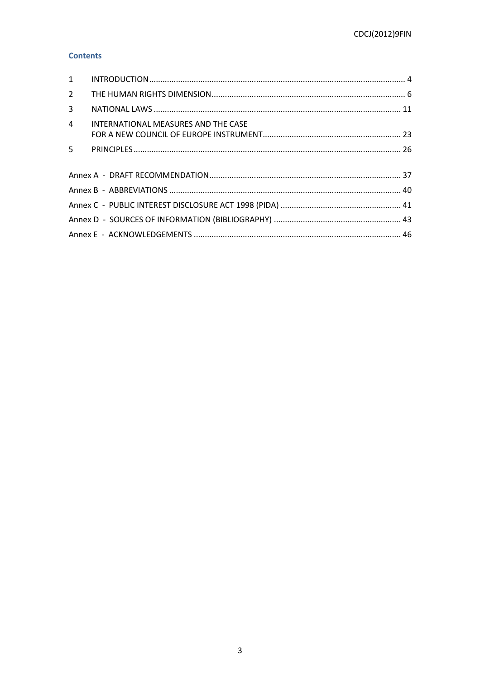# **Contents**

<span id="page-2-0"></span>

| $2^{\circ}$    |                                     |  |
|----------------|-------------------------------------|--|
| $\mathbf{3}$   |                                     |  |
| $\overline{4}$ | INTERNATIONAL MEASURES AND THE CASE |  |
|                |                                     |  |
| $5 -$          |                                     |  |
|                |                                     |  |
|                |                                     |  |
|                |                                     |  |
|                |                                     |  |
|                |                                     |  |
|                |                                     |  |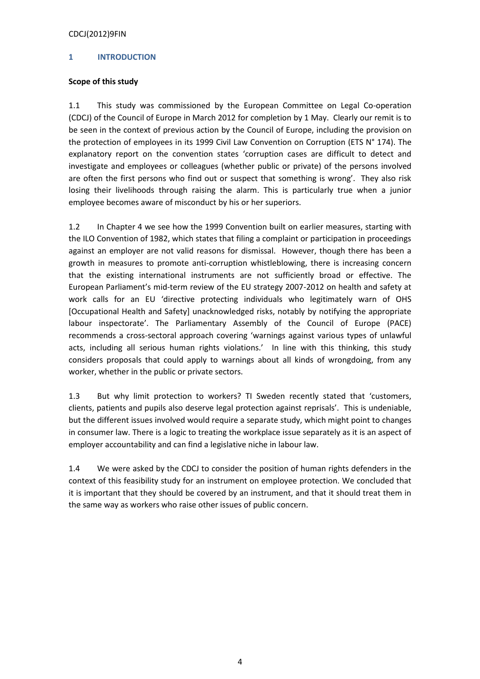# **1 INTRODUCTION**

# **Scope of this study**

1.1 This study was commissioned by the European Committee on Legal Co-operation (CDCJ) of the Council of Europe in March 2012 for completion by 1 May. Clearly our remit is to be seen in the context of previous action by the Council of Europe, including the provision on the protection of employees in its 1999 Civil Law Convention on Corruption (ETS N° 174). The explanatory report on the convention states 'corruption cases are difficult to detect and investigate and employees or colleagues (whether public or private) of the persons involved are often the first persons who find out or suspect that something is wrong'. They also risk losing their livelihoods through raising the alarm. This is particularly true when a junior employee becomes aware of misconduct by his or her superiors.

1.2 In Chapter 4 we see how the 1999 Convention built on earlier measures, starting with the ILO Convention of 1982, which states that filing a complaint or participation in proceedings against an employer are not valid reasons for dismissal. However, though there has been a growth in measures to promote anti-corruption whistleblowing, there is increasing concern that the existing international instruments are not sufficiently broad or effective. The European Parliament's mid-term review of the EU strategy 2007-2012 on health and safety at work calls for an EU 'directive protecting individuals who legitimately warn of OHS [Occupational Health and Safety] unacknowledged risks, notably by notifying the appropriate labour inspectorate'. The Parliamentary Assembly of the Council of Europe (PACE) recommends a cross-sectoral approach covering 'warnings against various types of unlawful acts, including all serious human rights violations.' In line with this thinking, this study considers proposals that could apply to warnings about all kinds of wrongdoing, from any worker, whether in the public or private sectors.

1.3 But why limit protection to workers? TI Sweden recently stated that 'customers, clients, patients and pupils also deserve legal protection against reprisals'. This is undeniable, but the different issues involved would require a separate study, which might point to changes in consumer law. There is a logic to treating the workplace issue separately as it is an aspect of employer accountability and can find a legislative niche in labour law.

1.4 We were asked by the CDCJ to consider the position of human rights defenders in the context of this feasibility study for an instrument on employee protection. We concluded that it is important that they should be covered by an instrument, and that it should treat them in the same way as workers who raise other issues of public concern.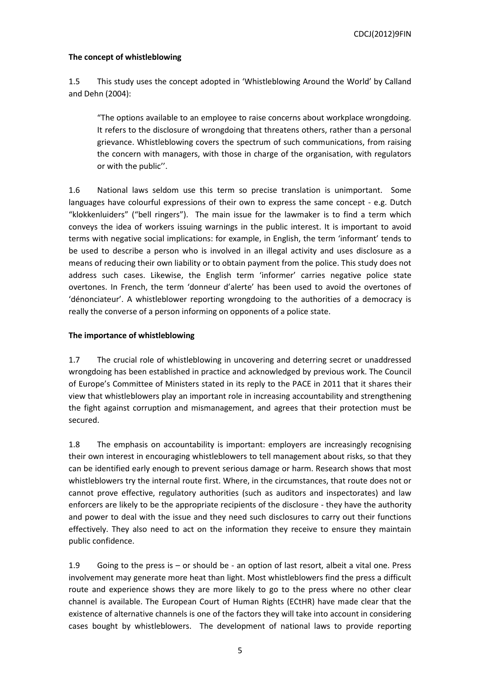## **The concept of whistleblowing**

1.5 This study uses the concept adopted in 'Whistleblowing Around the World' by Calland and Dehn (2004):

"The options available to an employee to raise concerns about workplace wrongdoing. It refers to the disclosure of wrongdoing that threatens others, rather than a personal grievance. Whistleblowing covers the spectrum of such communications, from raising the concern with managers, with those in charge of the organisation, with regulators or with the public''.

1.6 National laws seldom use this term so precise translation is unimportant. Some languages have colourful expressions of their own to express the same concept - e.g. Dutch "klokkenluiders" ("bell ringers"). The main issue for the lawmaker is to find a term which conveys the idea of workers issuing warnings in the public interest. It is important to avoid terms with negative social implications: for example, in English, the term 'informant' tends to be used to describe a person who is involved in an illegal activity and uses disclosure as a means of reducing their own liability or to obtain payment from the police. This study does not address such cases. Likewise, the English term 'informer' carries negative police state overtones. In French, the term 'donneur d'alerte' has been used to avoid the overtones of 'dénonciateur'. A whistleblower reporting wrongdoing to the authorities of a democracy is really the converse of a person informing on opponents of a police state.

# **The importance of whistleblowing**

1.7 The crucial role of whistleblowing in uncovering and deterring secret or unaddressed wrongdoing has been established in practice and acknowledged by previous work. The Council of Europe's Committee of Ministers stated in its reply to the PACE in 2011 that it shares their view that whistleblowers play an important role in increasing accountability and strengthening the fight against corruption and mismanagement, and agrees that their protection must be secured.

1.8 The emphasis on accountability is important: employers are increasingly recognising their own interest in encouraging whistleblowers to tell management about risks, so that they can be identified early enough to prevent serious damage or harm. Research shows that most whistleblowers try the internal route first. Where, in the circumstances, that route does not or cannot prove effective, regulatory authorities (such as auditors and inspectorates) and law enforcers are likely to be the appropriate recipients of the disclosure - they have the authority and power to deal with the issue and they need such disclosures to carry out their functions effectively. They also need to act on the information they receive to ensure they maintain public confidence.

1.9 Going to the press is – or should be - an option of last resort, albeit a vital one. Press involvement may generate more heat than light. Most whistleblowers find the press a difficult route and experience shows they are more likely to go to the press where no other clear channel is available. The European Court of Human Rights (ECtHR) have made clear that the existence of alternative channels is one of the factors they will take into account in considering cases bought by whistleblowers. The development of national laws to provide reporting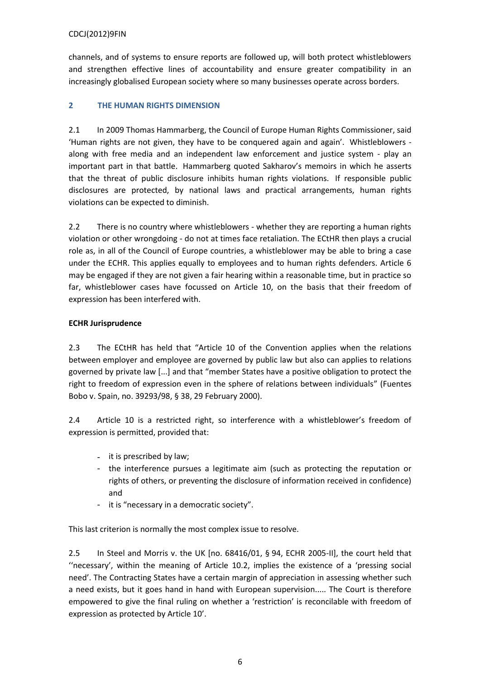channels, and of systems to ensure reports are followed up, will both protect whistleblowers and strengthen effective lines of accountability and ensure greater compatibility in an increasingly globalised European society where so many businesses operate across borders.

# <span id="page-5-0"></span>**2 THE HUMAN RIGHTS DIMENSION**

2.1 In 2009 Thomas Hammarberg, the Council of Europe Human Rights Commissioner, said 'Human rights are not given, they have to be conquered again and again'. Whistleblowers along with free media and an independent law enforcement and justice system - play an important part in that battle. Hammarberg quoted Sakharov's memoirs in which he asserts that the threat of public disclosure inhibits human rights violations. If responsible public disclosures are protected, by national laws and practical arrangements, human rights violations can be expected to diminish.

2.2 There is no country where whistleblowers - whether they are reporting a human rights violation or other wrongdoing - do not at times face retaliation. The ECtHR then plays a crucial role as, in all of the Council of Europe countries, a whistleblower may be able to bring a case under the ECHR. This applies equally to employees and to human rights defenders. Article 6 may be engaged if they are not given a fair hearing within a reasonable time, but in practice so far, whistleblower cases have focussed on Article 10, on the basis that their freedom of expression has been interfered with.

# **ECHR Jurisprudence**

2.3 The ECtHR has held that "Article 10 of the Convention applies when the relations between employer and employee are governed by public law but also can applies to relations governed by private law [...] and that "member States have a positive obligation to protect the right to freedom of expression even in the sphere of relations between individuals" (Fuentes Bobo v. Spain, no. 39293/98, § 38, 29 February 2000).

2.4 Article 10 is a restricted right, so interference with a whistleblower's freedom of expression is permitted, provided that:

- it is prescribed by law;
- the interference pursues a legitimate aim (such as protecting the reputation or rights of others, or preventing the disclosure of information received in confidence) and
- it is "necessary in a democratic society".

This last criterion is normally the most complex issue to resolve.

2.5 In Steel and Morris v. the UK [no. 68416/01, § 94, ECHR 2005-II], the court held that "necessary', within the meaning of Article 10.2, implies the existence of a 'pressing social need'. The Contracting States have a certain margin of appreciation in assessing whether such a need exists, but it goes hand in hand with European supervision..... The Court is therefore empowered to give the final ruling on whether a 'restriction' is reconcilable with freedom of expression as protected by Article 10'.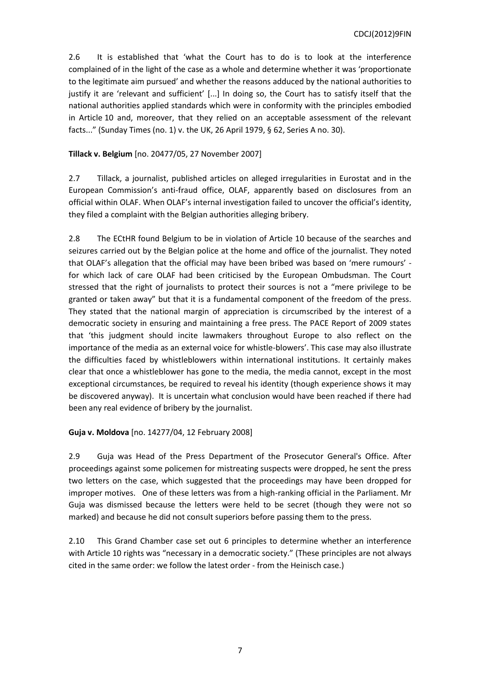2.6 It is established that 'what the Court has to do is to look at the interference complained of in the light of the case as a whole and determine whether it was 'proportionate to the legitimate aim pursued' and whether the reasons adduced by the national authorities to justify it are 'relevant and sufficient' [...] In doing so, the Court has to satisfy itself that the national authorities applied standards which were in conformity with the principles embodied in Article 10 and, moreover, that they relied on an acceptable assessment of the relevant facts..." (Sunday Times (no. 1) v. the UK, 26 April 1979, § 62, Series A no. 30).

# **Tillack v. Belgium** [no. 20477/05, 27 November 2007]

2.7 Tillack, a journalist, published articles on alleged irregularities in Eurostat and in the European Commission's anti-fraud office, OLAF, apparently based on disclosures from an official within OLAF. When OLAF's internal investigation failed to uncover the official's identity, they filed a complaint with the Belgian authorities alleging bribery.

2.8 The ECtHR found Belgium to be in violation of Article 10 because of the searches and seizures carried out by the Belgian police at the home and office of the journalist. They noted that OLAF's allegation that the official may have been bribed was based on 'mere rumours' for which lack of care OLAF had been criticised by the European Ombudsman. The Court stressed that the right of journalists to protect their sources is not a "mere privilege to be granted or taken away" but that it is a fundamental component of the freedom of the press. They stated that the national margin of appreciation is circumscribed by the interest of a democratic society in ensuring and maintaining a free press. The PACE Report of 2009 states that 'this judgment should incite lawmakers throughout Europe to also reflect on the importance of the media as an external voice for whistle-blowers'. This case may also illustrate the difficulties faced by whistleblowers within international institutions. It certainly makes clear that once a whistleblower has gone to the media, the media cannot, except in the most exceptional circumstances, be required to reveal his identity (though experience shows it may be discovered anyway). It is uncertain what conclusion would have been reached if there had been any real evidence of bribery by the journalist.

## **Guja v. Moldova** [no. 14277/04, 12 February 2008]

2.9 Guja was Head of the Press Department of the Prosecutor General's Office. After proceedings against some policemen for mistreating suspects were dropped, he sent the press two letters on the case, which suggested that the proceedings may have been dropped for improper motives. One of these letters was from a high-ranking official in the Parliament. Mr Guja was dismissed because the letters were held to be secret (though they were not so marked) and because he did not consult superiors before passing them to the press.

2.10 This Grand Chamber case set out 6 principles to determine whether an interference with Article 10 rights was "necessary in a democratic society." (These principles are not always cited in the same order: we follow the latest order - from the Heinisch case.)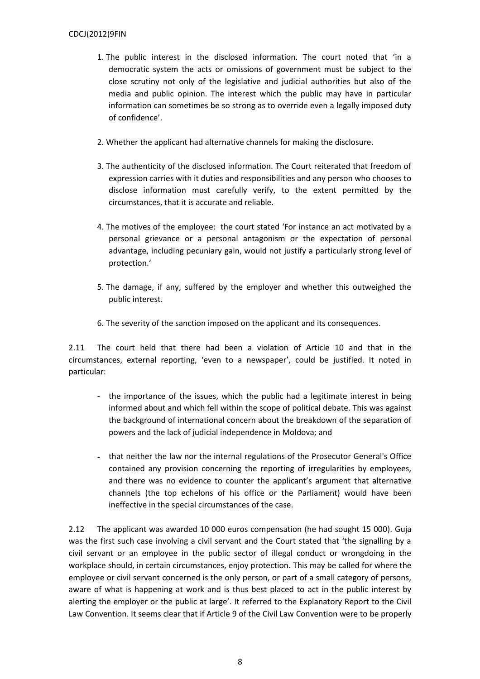- 1. The public interest in the disclosed information. The court noted that 'in a democratic system the acts or omissions of government must be subject to the close scrutiny not only of the legislative and judicial authorities but also of the media and public opinion. The interest which the public may have in particular information can sometimes be so strong as to override even a legally imposed duty of confidence'.
- 2. Whether the applicant had alternative channels for making the disclosure.
- 3. The authenticity of the disclosed information. The Court reiterated that freedom of expression carries with it duties and responsibilities and any person who chooses to disclose information must carefully verify, to the extent permitted by the circumstances, that it is accurate and reliable.
- 4. The motives of the employee: the court stated 'For instance an act motivated by a personal grievance or a personal antagonism or the expectation of personal advantage, including pecuniary gain, would not justify a particularly strong level of protection.'
- 5. The damage, if any, suffered by the employer and whether this outweighed the public interest.
- 6. The severity of the sanction imposed on the applicant and its consequences.

2.11 The court held that there had been a violation of Article 10 and that in the circumstances, external reporting, 'even to a newspaper', could be justified. It noted in particular:

- the importance of the issues, which the public had a legitimate interest in being informed about and which fell within the scope of political debate. This was against the background of international concern about the breakdown of the separation of powers and the lack of judicial independence in Moldova; and
- that neither the law nor the internal regulations of the Prosecutor General's Office contained any provision concerning the reporting of irregularities by employees, and there was no evidence to counter the applicant's argument that alternative channels (the top echelons of his office or the Parliament) would have been ineffective in the special circumstances of the case.

2.12 The applicant was awarded 10 000 euros compensation (he had sought 15 000). Guja was the first such case involving a civil servant and the Court stated that 'the signalling by a civil servant or an employee in the public sector of illegal conduct or wrongdoing in the workplace should, in certain circumstances, enjoy protection. This may be called for where the employee or civil servant concerned is the only person, or part of a small category of persons, aware of what is happening at work and is thus best placed to act in the public interest by alerting the employer or the public at large'. It referred to the Explanatory Report to the Civil Law Convention. It seems clear that if Article 9 of the Civil Law Convention were to be properly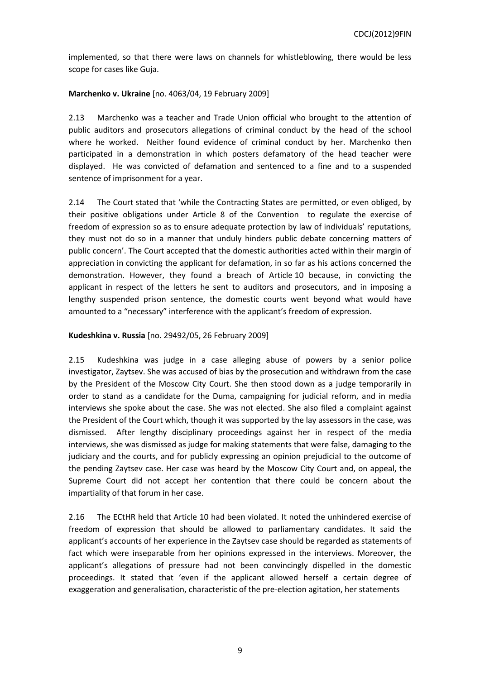implemented, so that there were laws on channels for whistleblowing, there would be less scope for cases like Guja.

# **Marchenko v. Ukraine** [no. 4063/04, 19 February 2009]

2.13 Marchenko was a teacher and Trade Union official who brought to the attention of public auditors and prosecutors allegations of criminal conduct by the head of the school where he worked. Neither found evidence of criminal conduct by her. Marchenko then participated in a demonstration in which posters defamatory of the head teacher were displayed. He was convicted of defamation and sentenced to a fine and to a suspended sentence of imprisonment for a year.

2.14 The Court stated that 'while the Contracting States are permitted, or even obliged, by their positive obligations under Article 8 of the Convention to regulate the exercise of freedom of expression so as to ensure adequate protection by law of individuals' reputations, they must not do so in a manner that unduly hinders public debate concerning matters of public concern'. The Court accepted that the domestic authorities acted within their margin of appreciation in convicting the applicant for defamation, in so far as his actions concerned the demonstration. However, they found a breach of Article 10 because, in convicting the applicant in respect of the letters he sent to auditors and prosecutors, and in imposing a lengthy suspended prison sentence, the domestic courts went beyond what would have amounted to a "necessary" interference with the applicant's freedom of expression.

## **Kudeshkina v. Russia** [no. 29492/05, 26 February 2009]

2.15 Kudeshkina was judge in a case alleging abuse of powers by a senior police investigator, Zaytsev. She was accused of bias by the prosecution and withdrawn from the case by the President of the Moscow City Court. She then stood down as a judge temporarily in order to stand as a candidate for the Duma, campaigning for judicial reform, and in media interviews she spoke about the case. She was not elected. She also filed a complaint against the President of the Court which, though it was supported by the lay assessors in the case, was dismissed. After lengthy disciplinary proceedings against her in respect of the media interviews, she was dismissed as judge for making statements that were false, damaging to the judiciary and the courts, and for publicly expressing an opinion prejudicial to the outcome of the pending Zaytsev case. Her case was heard by the Moscow City Court and, on appeal, the Supreme Court did not accept her contention that there could be concern about the impartiality of that forum in her case.

2.16 The ECtHR held that Article 10 had been violated. It noted the unhindered exercise of freedom of expression that should be allowed to parliamentary candidates. It said the applicant's accounts of her experience in the Zaytsev case should be regarded as statements of fact which were inseparable from her opinions expressed in the interviews. Moreover, the applicant's allegations of pressure had not been convincingly dispelled in the domestic proceedings. It stated that 'even if the applicant allowed herself a certain degree of exaggeration and generalisation, characteristic of the pre-election agitation, her statements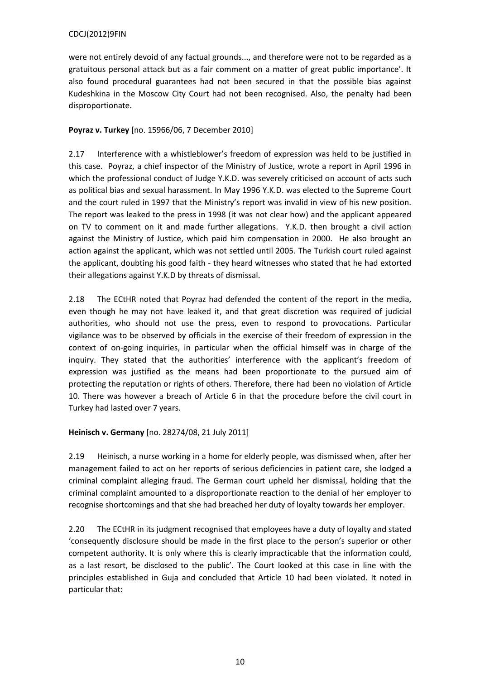were not entirely devoid of any factual grounds..., and therefore were not to be regarded as a gratuitous personal attack but as a fair comment on a matter of great public importance'. It also found procedural guarantees had not been secured in that the possible bias against Kudeshkina in the Moscow City Court had not been recognised. Also, the penalty had been disproportionate.

# **Poyraz v. Turkey** [no. 15966/06, 7 December 2010]

2.17 Interference with a whistleblower's freedom of expression was held to be justified in this case. Poyraz, a chief inspector of the Ministry of Justice, wrote a report in April 1996 in which the professional conduct of Judge Y.K.D. was severely criticised on account of acts such as political bias and sexual harassment. In May 1996 Y.K.D. was elected to the Supreme Court and the court ruled in 1997 that the Ministry's report was invalid in view of his new position. The report was leaked to the press in 1998 (it was not clear how) and the applicant appeared on TV to comment on it and made further allegations. Y.K.D. then brought a civil action against the Ministry of Justice, which paid him compensation in 2000. He also brought an action against the applicant, which was not settled until 2005. The Turkish court ruled against the applicant, doubting his good faith - they heard witnesses who stated that he had extorted their allegations against Y.K.D by threats of dismissal.

2.18 The ECtHR noted that Poyraz had defended the content of the report in the media, even though he may not have leaked it, and that great discretion was required of judicial authorities, who should not use the press, even to respond to provocations. Particular vigilance was to be observed by officials in the exercise of their freedom of expression in the context of on-going inquiries, in particular when the official himself was in charge of the inquiry. They stated that the authorities' interference with the applicant's freedom of expression was justified as the means had been proportionate to the pursued aim of protecting the reputation or rights of others. Therefore, there had been no violation of Article 10. There was however a breach of Article 6 in that the procedure before the civil court in Turkey had lasted over 7 years.

# **Heinisch v. Germany** [no. 28274/08, 21 July 2011]

2.19 Heinisch, a nurse working in a home for elderly people, was dismissed when, after her management failed to act on her reports of serious deficiencies in patient care, she lodged a criminal complaint alleging fraud. The German court upheld her dismissal, holding that the criminal complaint amounted to a disproportionate reaction to the denial of her employer to recognise shortcomings and that she had breached her duty of loyalty towards her employer.

2.20 The ECtHR in its judgment recognised that employees have a duty of loyalty and stated 'consequently disclosure should be made in the first place to the person's superior or other competent authority. It is only where this is clearly impracticable that the information could, as a last resort, be disclosed to the public'. The Court looked at this case in line with the principles established in Guja and concluded that Article 10 had been violated. It noted in particular that: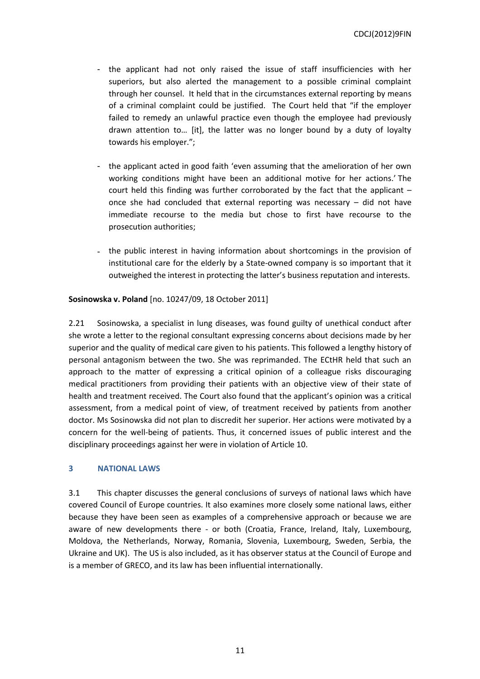- the applicant had not only raised the issue of staff insufficiencies with her superiors, but also alerted the management to a possible criminal complaint through her counsel. It held that in the circumstances external reporting by means of a criminal complaint could be justified. The Court held that "if the employer failed to remedy an unlawful practice even though the employee had previously drawn attention to… [it], the latter was no longer bound by a duty of loyalty towards his employer.";
- the applicant acted in good faith 'even assuming that the amelioration of her own working conditions might have been an additional motive for her actions.' The court held this finding was further corroborated by the fact that the applicant – once she had concluded that external reporting was necessary – did not have immediate recourse to the media but chose to first have recourse to the prosecution authorities;
- the public interest in having information about shortcomings in the provision of institutional care for the elderly by a State-owned company is so important that it outweighed the interest in protecting the latter's business reputation and interests.

**Sosinowska v. Poland** [no. 10247/09, 18 October 2011]

2.21 Sosinowska, a specialist in lung diseases, was found guilty of unethical conduct after she wrote a letter to the regional consultant expressing concerns about decisions made by her superior and the quality of medical care given to his patients. This followed a lengthy history of personal antagonism between the two. She was reprimanded. The ECtHR held that such an approach to the matter of expressing a critical opinion of a colleague risks discouraging medical practitioners from providing their patients with an objective view of their state of health and treatment received. The Court also found that the applicant's opinion was a critical assessment, from a medical point of view, of treatment received by patients from another doctor. Ms Sosinowska did not plan to discredit her superior. Her actions were motivated by a concern for the well-being of patients. Thus, it concerned issues of public interest and the disciplinary proceedings against her were in violation of Article 10.

## <span id="page-10-0"></span>**3 NATIONAL LAWS**

3.1 This chapter discusses the general conclusions of surveys of national laws which have covered Council of Europe countries. It also examines more closely some national laws, either because they have been seen as examples of a comprehensive approach or because we are aware of new developments there - or both (Croatia, France, Ireland, Italy, Luxembourg, Moldova, the Netherlands, Norway, Romania, Slovenia, Luxembourg, Sweden, Serbia, the Ukraine and UK). The US is also included, as it has observer status at the Council of Europe and is a member of GRECO, and its law has been influential internationally.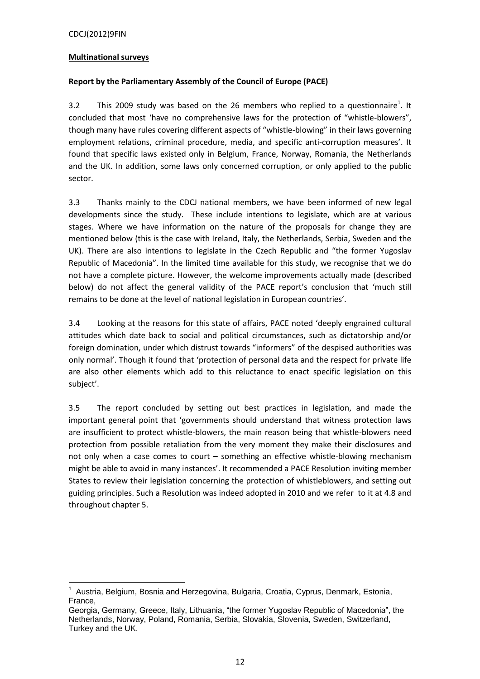## **Multinational surveys**

# **Report by the Parliamentary Assembly of the Council of Europe (PACE)**

3.2 This 2009 study was based on the 26 members who replied to a questionnaire<sup>1</sup>. It concluded that most 'have no comprehensive laws for the protection of "whistle-blowers", though many have rules covering different aspects of "whistle-blowing" in their laws governing employment relations, criminal procedure, media, and specific anti-corruption measures'. It found that specific laws existed only in Belgium, France, Norway, Romania, the Netherlands and the UK. In addition, some laws only concerned corruption, or only applied to the public sector.

3.3 Thanks mainly to the CDCJ national members, we have been informed of new legal developments since the study. These include intentions to legislate, which are at various stages. Where we have information on the nature of the proposals for change they are mentioned below (this is the case with Ireland, Italy, the Netherlands, Serbia, Sweden and the UK). There are also intentions to legislate in the Czech Republic and "the former Yugoslav Republic of Macedonia". In the limited time available for this study, we recognise that we do not have a complete picture. However, the welcome improvements actually made (described below) do not affect the general validity of the PACE report's conclusion that 'much still remains to be done at the level of national legislation in European countries'.

3.4 Looking at the reasons for this state of affairs, PACE noted 'deeply engrained cultural attitudes which date back to social and political circumstances, such as dictatorship and/or foreign domination, under which distrust towards "informers" of the despised authorities was only normal'. Though it found that 'protection of personal data and the respect for private life are also other elements which add to this reluctance to enact specific legislation on this subject'.

3.5 The report concluded by setting out best practices in legislation, and made the important general point that 'governments should understand that witness protection laws are insufficient to protect whistle-blowers, the main reason being that whistle-blowers need protection from possible retaliation from the very moment they make their disclosures and not only when a case comes to court – something an effective whistle-blowing mechanism might be able to avoid in many instances'. It recommended a PACE Resolution inviting member States to review their legislation concerning the protection of whistleblowers, and setting out guiding principles. Such a Resolution was indeed adopted in 2010 and we refer to it at 4.8 and throughout chapter 5.

 1 Austria, Belgium, Bosnia and Herzegovina, Bulgaria, Croatia, Cyprus, Denmark, Estonia, France,

Georgia, Germany, Greece, Italy, Lithuania, "the former Yugoslav Republic of Macedonia", the Netherlands, Norway, Poland, Romania, Serbia, Slovakia, Slovenia, Sweden, Switzerland, Turkey and the UK.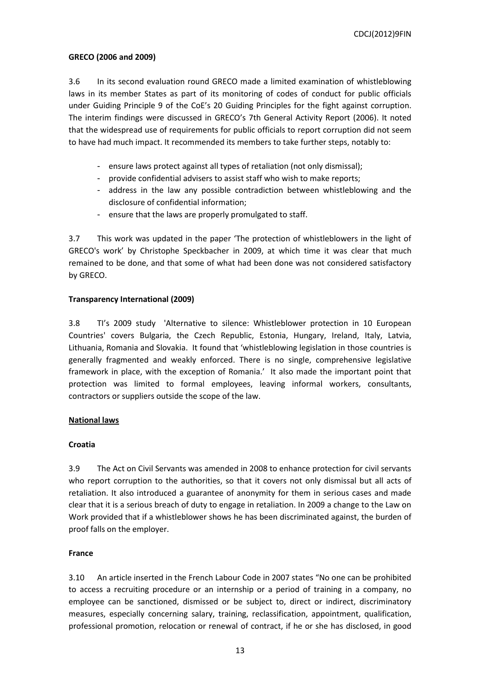## **GRECO (2006 and 2009)**

3.6 In its second evaluation round GRECO made a limited examination of whistleblowing laws in its member States as part of its monitoring of codes of conduct for public officials under Guiding Principle 9 of the CoE's 20 Guiding Principles for the fight against corruption. The interim findings were discussed in GRECO's 7th General Activity Report (2006). It noted that the widespread use of requirements for public officials to report corruption did not seem to have had much impact. It recommended its members to take further steps, notably to:

- ensure laws protect against all types of retaliation (not only dismissal);
- provide confidential advisers to assist staff who wish to make reports;
- address in the law any possible contradiction between whistleblowing and the disclosure of confidential information;
- ensure that the laws are properly promulgated to staff.

3.7 This work was updated in the paper 'The protection of whistleblowers in the light of GRECO's work' by Christophe Speckbacher in 2009, at which time it was clear that much remained to be done, and that some of what had been done was not considered satisfactory by GRECO.

## **Transparency International (2009)**

3.8 TI's 2009 study 'Alternative to silence: Whistleblower protection in 10 European Countries' covers Bulgaria, the Czech Republic, Estonia, Hungary, Ireland, Italy, Latvia, Lithuania, Romania and Slovakia. It found that 'whistleblowing legislation in those countries is generally fragmented and weakly enforced. There is no single, comprehensive legislative framework in place, with the exception of Romania.' It also made the important point that protection was limited to formal employees, leaving informal workers, consultants, contractors or suppliers outside the scope of the law.

## **National laws**

## **Croatia**

3.9 The Act on Civil Servants was amended in 2008 to enhance protection for civil servants who report corruption to the authorities, so that it covers not only dismissal but all acts of retaliation. It also introduced a guarantee of anonymity for them in serious cases and made clear that it is a serious breach of duty to engage in retaliation. In 2009 a change to the Law on Work provided that if a whistleblower shows he has been discriminated against, the burden of proof falls on the employer.

## **France**

3.10 An article inserted in the French Labour Code in 2007 states "No one can be prohibited to access a recruiting procedure or an internship or a period of training in a company, no employee can be sanctioned, dismissed or be subject to, direct or indirect, discriminatory measures, especially concerning salary, training, reclassification, appointment, qualification, professional promotion, relocation or renewal of contract, if he or she has disclosed, in good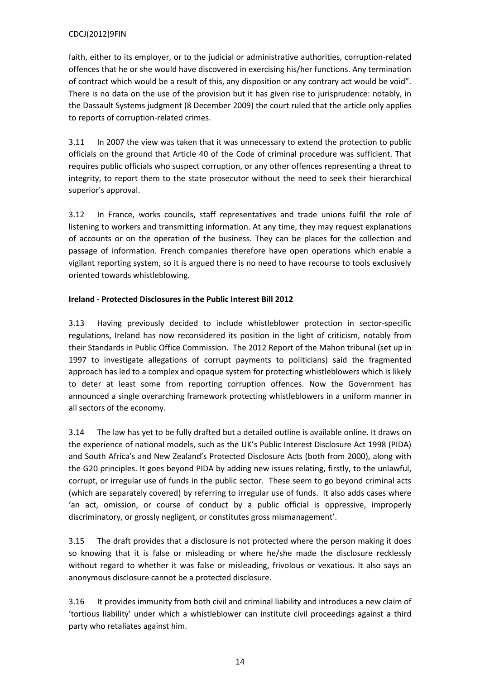faith, either to its employer, or to the judicial or administrative authorities, corruption-related offences that he or she would have discovered in exercising his/her functions. Any termination of contract which would be a result of this, any disposition or any contrary act would be void". There is no data on the use of the provision but it has given rise to jurisprudence: notably, in the Dassault Systems judgment (8 December 2009) the court ruled that the article only applies to reports of corruption-related crimes.

3.11 In 2007 the view was taken that it was unnecessary to extend the protection to public officials on the ground that Article 40 of the Code of criminal procedure was sufficient. That requires public officials who suspect corruption, or any other offences representing a threat to integrity, to report them to the state prosecutor without the need to seek their hierarchical superior's approval.

3.12 In France, works councils, staff representatives and trade unions fulfil the role of listening to workers and transmitting information. At any time, they may request explanations of accounts or on the operation of the business. They can be places for the collection and passage of information. French companies therefore have open operations which enable a vigilant reporting system, so it is argued there is no need to have recourse to tools exclusively oriented towards whistleblowing.

# **Ireland - Protected Disclosures in the Public Interest Bill 2012**

3.13 Having previously decided to include whistleblower protection in sector-specific regulations, Ireland has now reconsidered its position in the light of criticism, notably from their Standards in Public Office Commission. The 2012 Report of the Mahon tribunal (set up in 1997 to investigate allegations of corrupt payments to politicians) said the fragmented approach has led to a complex and opaque system for protecting whistleblowers which is likely to deter at least some from reporting corruption offences. Now the Government has announced a single overarching framework protecting whistleblowers in a uniform manner in all sectors of the economy.

3.14 The law has yet to be fully drafted but a detailed outline is available online. It draws on the experience of national models, such as the UK's Public Interest Disclosure Act 1998 (PIDA) and South Africa's and New Zealand's Protected Disclosure Acts (both from 2000), along with the G20 principles. It goes beyond PIDA by adding new issues relating, firstly, to the unlawful, corrupt, or irregular use of funds in the public sector. These seem to go beyond criminal acts (which are separately covered) by referring to irregular use of funds. It also adds cases where 'an act, omission, or course of conduct by a public official is oppressive, improperly discriminatory, or grossly negligent, or constitutes gross mismanagement'.

3.15 The draft provides that a disclosure is not protected where the person making it does so knowing that it is false or misleading or where he/she made the disclosure recklessly without regard to whether it was false or misleading, frivolous or vexatious. It also says an anonymous disclosure cannot be a protected disclosure.

3.16 It provides immunity from both civil and criminal liability and introduces a new claim of 'tortious liability' under which a whistleblower can institute civil proceedings against a third party who retaliates against him.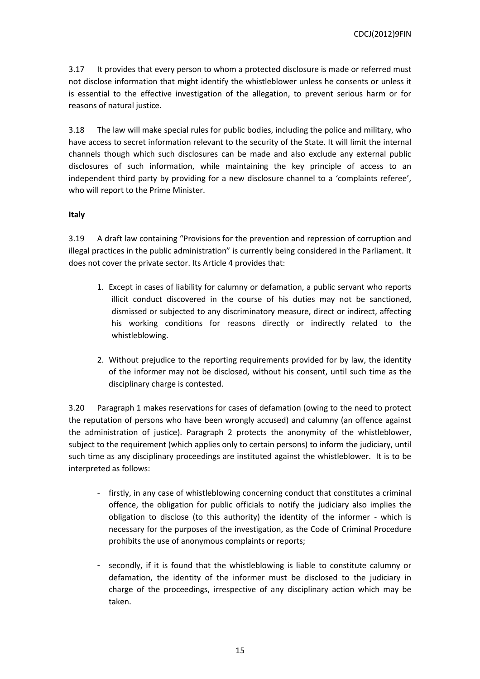3.17 It provides that every person to whom a protected disclosure is made or referred must not disclose information that might identify the whistleblower unless he consents or unless it is essential to the effective investigation of the allegation, to prevent serious harm or for reasons of natural justice.

3.18 The law will make special rules for public bodies, including the police and military, who have access to secret information relevant to the security of the State. It will limit the internal channels though which such disclosures can be made and also exclude any external public disclosures of such information, while maintaining the key principle of access to an independent third party by providing for a new disclosure channel to a 'complaints referee', who will report to the Prime Minister.

# **Italy**

3.19 A draft law containing "Provisions for the prevention and repression of corruption and illegal practices in the public administration" is currently being considered in the Parliament. It does not cover the private sector. Its Article 4 provides that:

- 1. Except in cases of liability for calumny or defamation, a public servant who reports illicit conduct discovered in the course of his duties may not be sanctioned, dismissed or subjected to any discriminatory measure, direct or indirect, affecting his working conditions for reasons directly or indirectly related to the whistleblowing.
- 2. Without prejudice to the reporting requirements provided for by law, the identity of the informer may not be disclosed, without his consent, until such time as the disciplinary charge is contested.

3.20 Paragraph 1 makes reservations for cases of defamation (owing to the need to protect the reputation of persons who have been wrongly accused) and calumny (an offence against the administration of justice). Paragraph 2 protects the anonymity of the whistleblower, subject to the requirement (which applies only to certain persons) to inform the judiciary, until such time as any disciplinary proceedings are instituted against the whistleblower. It is to be interpreted as follows:

- firstly, in any case of whistleblowing concerning conduct that constitutes a criminal offence, the obligation for public officials to notify the judiciary also implies the obligation to disclose (to this authority) the identity of the informer - which is necessary for the purposes of the investigation, as the Code of Criminal Procedure prohibits the use of anonymous complaints or reports;
- secondly, if it is found that the whistleblowing is liable to constitute calumny or defamation, the identity of the informer must be disclosed to the judiciary in charge of the proceedings, irrespective of any disciplinary action which may be taken.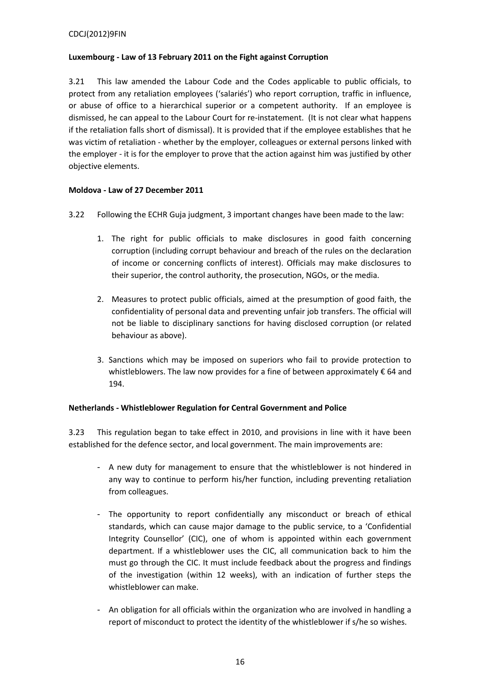# **Luxembourg - Law of 13 February 2011 on the Fight against Corruption**

3.21 This law amended the Labour Code and the Codes applicable to public officials, to protect from any retaliation employees ('salariés') who report corruption, traffic in influence, or abuse of office to a hierarchical superior or a competent authority. If an employee is dismissed, he can appeal to the Labour Court for re-instatement. (It is not clear what happens if the retaliation falls short of dismissal). It is provided that if the employee establishes that he was victim of retaliation - whether by the employer, colleagues or external persons linked with the employer - it is for the employer to prove that the action against him was justified by other objective elements.

# **Moldova - Law of 27 December 2011**

- 3.22 Following the ECHR Guja judgment, 3 important changes have been made to the law:
	- 1. The right for public officials to make disclosures in good faith concerning corruption (including corrupt behaviour and breach of the rules on the declaration of income or concerning conflicts of interest). Officials may make disclosures to their superior, the control authority, the prosecution, NGOs, or the media.
	- 2. Measures to protect public officials, aimed at the presumption of good faith, the confidentiality of personal data and preventing unfair job transfers. The official will not be liable to disciplinary sanctions for having disclosed corruption (or related behaviour as above).
	- 3. Sanctions which may be imposed on superiors who fail to provide protection to whistleblowers. The law now provides for a fine of between approximately €64 and 194.

# **Netherlands - Whistleblower Regulation for Central Government and Police**

3.23 This regulation began to take effect in 2010, and provisions in line with it have been established for the defence sector, and local government. The main improvements are:

- A new duty for management to ensure that the whistleblower is not hindered in any way to continue to perform his/her function, including preventing retaliation from colleagues.
- The opportunity to report confidentially any misconduct or breach of ethical standards, which can cause major damage to the public service, to a 'Confidential Integrity Counsellor' (CIC), one of whom is appointed within each government department. If a whistleblower uses the CIC, all communication back to him the must go through the CIC. It must include feedback about the progress and findings of the investigation (within 12 weeks), with an indication of further steps the whistleblower can make.
- An obligation for all officials within the organization who are involved in handling a report of misconduct to protect the identity of the whistleblower if s/he so wishes.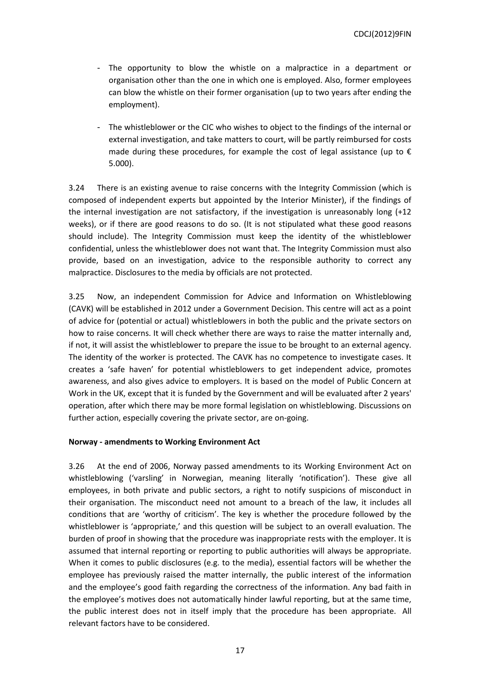- The opportunity to blow the whistle on a malpractice in a department or organisation other than the one in which one is employed. Also, former employees can blow the whistle on their former organisation (up to two years after ending the employment).
- The whistleblower or the CIC who wishes to object to the findings of the internal or external investigation, and take matters to court, will be partly reimbursed for costs made during these procedures, for example the cost of legal assistance (up to  $\epsilon$ 5.000).

3.24 There is an existing avenue to raise concerns with the Integrity Commission (which is composed of independent experts but appointed by the Interior Minister), if the findings of the internal investigation are not satisfactory, if the investigation is unreasonably long (+12 weeks), or if there are good reasons to do so. (It is not stipulated what these good reasons should include). The Integrity Commission must keep the identity of the whistleblower confidential, unless the whistleblower does not want that. The Integrity Commission must also provide, based on an investigation, advice to the responsible authority to correct any malpractice. Disclosures to the media by officials are not protected.

3.25 Now, an independent Commission for Advice and Information on Whistleblowing (CAVK) will be established in 2012 under a Government Decision. This centre will act as a point of advice for (potential or actual) whistleblowers in both the public and the private sectors on how to raise concerns. It will check whether there are ways to raise the matter internally and, if not, it will assist the whistleblower to prepare the issue to be brought to an external agency. The identity of the worker is protected. The CAVK has no competence to investigate cases. It creates a 'safe haven' for potential whistleblowers to get independent advice, promotes awareness, and also gives advice to employers. It is based on the model of Public Concern at Work in the UK, except that it is funded by the Government and will be evaluated after 2 years' operation, after which there may be more formal legislation on whistleblowing. Discussions on further action, especially covering the private sector, are on-going.

#### **Norway - amendments to Working Environment Act**

3.26 At the end of 2006, Norway passed amendments to its Working Environment Act on whistleblowing ('varsling' in Norwegian, meaning literally 'notification'). These give all employees, in both private and public sectors, a right to notify suspicions of misconduct in their organisation. The misconduct need not amount to a breach of the law, it includes all conditions that are 'worthy of criticism'. The key is whether the procedure followed by the whistleblower is 'appropriate,' and this question will be subject to an overall evaluation. The burden of proof in showing that the procedure was inappropriate rests with the employer. It is assumed that internal reporting or reporting to public authorities will always be appropriate. When it comes to public disclosures (e.g. to the media), essential factors will be whether the employee has previously raised the matter internally, the public interest of the information and the employee's good faith regarding the correctness of the information. Any bad faith in the employee's motives does not automatically hinder lawful reporting, but at the same time, the public interest does not in itself imply that the procedure has been appropriate. All relevant factors have to be considered.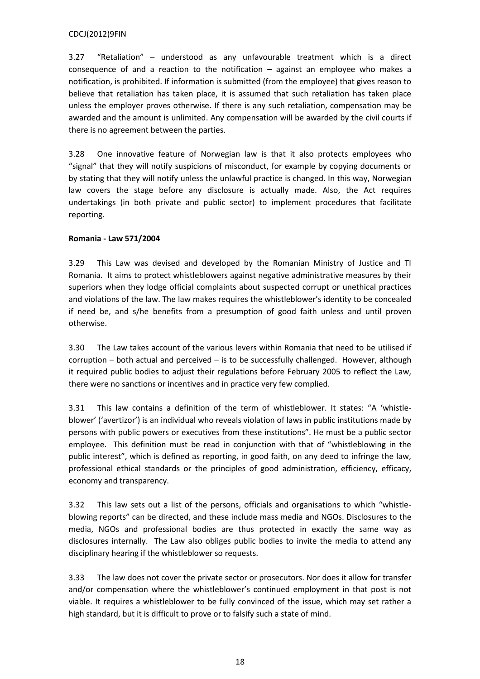3.27 "Retaliation" – understood as any unfavourable treatment which is a direct consequence of and a reaction to the notification – against an employee who makes a notification, is prohibited. If information is submitted (from the employee) that gives reason to believe that retaliation has taken place, it is assumed that such retaliation has taken place unless the employer proves otherwise. If there is any such retaliation, compensation may be awarded and the amount is unlimited. Any compensation will be awarded by the civil courts if there is no agreement between the parties.

3.28 One innovative feature of Norwegian law is that it also protects employees who "signal" that they will notify suspicions of misconduct, for example by copying documents or by stating that they will notify unless the unlawful practice is changed. In this way, Norwegian law covers the stage before any disclosure is actually made. Also, the Act requires undertakings (in both private and public sector) to implement procedures that facilitate reporting.

# **Romania - Law 571/2004**

3.29 This Law was devised and developed by the Romanian Ministry of Justice and TI Romania. It aims to protect whistleblowers against negative administrative measures by their superiors when they lodge official complaints about suspected corrupt or unethical practices and violations of the law. The law makes requires the whistleblower's identity to be concealed if need be, and s/he benefits from a presumption of good faith unless and until proven otherwise.

3.30 The Law takes account of the various levers within Romania that need to be utilised if corruption – both actual and perceived – is to be successfully challenged. However, although it required public bodies to adjust their regulations before February 2005 to reflect the Law, there were no sanctions or incentives and in practice very few complied.

3.31 This law contains a definition of the term of whistleblower. It states: "A 'whistleblower' ('avertizor') is an individual who reveals violation of laws in public institutions made by persons with public powers or executives from these institutions". He must be a public sector employee. This definition must be read in conjunction with that of "whistleblowing in the public interest", which is defined as reporting, in good faith, on any deed to infringe the law, professional ethical standards or the principles of good administration, efficiency, efficacy, economy and transparency.

3.32 This law sets out a list of the persons, officials and organisations to which "whistleblowing reports" can be directed, and these include mass media and NGOs. Disclosures to the media, NGOs and professional bodies are thus protected in exactly the same way as disclosures internally. The Law also obliges public bodies to invite the media to attend any disciplinary hearing if the whistleblower so requests.

3.33 The law does not cover the private sector or prosecutors. Nor does it allow for transfer and/or compensation where the whistleblower's continued employment in that post is not viable. It requires a whistleblower to be fully convinced of the issue, which may set rather a high standard, but it is difficult to prove or to falsify such a state of mind.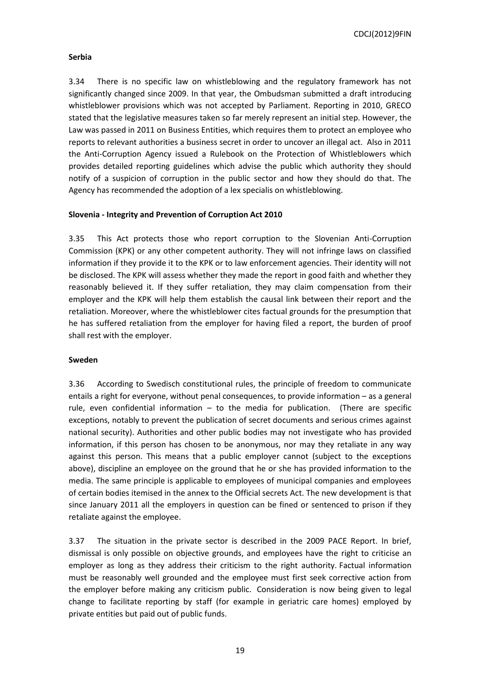## **Serbia**

3.34 There is no specific law on whistleblowing and the regulatory framework has not significantly changed since 2009. In that year, the Ombudsman submitted a draft introducing whistleblower provisions which was not accepted by Parliament. Reporting in 2010, GRECO stated that the legislative measures taken so far merely represent an initial step. However, the Law was passed in 2011 on Business Entities, which requires them to protect an employee who reports to relevant authorities a business secret in order to uncover an illegal act. Also in 2011 the Anti-Corruption Agency issued a Rulebook on the Protection of Whistleblowers which provides detailed reporting guidelines which advise the public which authority they should notify of a suspicion of corruption in the public sector and how they should do that. The Agency has recommended the adoption of a lex specialis on whistleblowing.

## **Slovenia - Integrity and Prevention of Corruption Act 2010**

3.35 This Act protects those who report corruption to the Slovenian Anti-Corruption Commission (KPK) or any other competent authority. They will not infringe laws on classified information if they provide it to the KPK or to law enforcement agencies. Their identity will not be disclosed. The KPK will assess whether they made the report in good faith and whether they reasonably believed it. If they suffer retaliation, they may claim compensation from their employer and the KPK will help them establish the causal link between their report and the retaliation. Moreover, where the whistleblower cites factual grounds for the presumption that he has suffered retaliation from the employer for having filed a report, the burden of proof shall rest with the employer.

## **Sweden**

3.36 According to Swedisch constitutional rules, the principle of freedom to communicate entails a right for everyone, without penal consequences, to provide information – as a general rule, even confidential information – to the media for publication. (There are specific exceptions, notably to prevent the publication of secret documents and serious crimes against national security). Authorities and other public bodies may not investigate who has provided information, if this person has chosen to be anonymous, nor may they retaliate in any way against this person. This means that a public employer cannot (subject to the exceptions above), discipline an employee on the ground that he or she has provided information to the media. The same principle is applicable to employees of municipal companies and employees of certain bodies itemised in the annex to the Official secrets Act. The new development is that since January 2011 all the employers in question can be fined or sentenced to prison if they retaliate against the employee.

3.37 The situation in the private sector is described in the 2009 PACE Report. In brief, dismissal is only possible on objective grounds, and employees have the right to criticise an employer as long as they address their criticism to the right authority. Factual information must be reasonably well grounded and the employee must first seek corrective action from the employer before making any criticism public. Consideration is now being given to legal change to facilitate reporting by staff (for example in geriatric care homes) employed by private entities but paid out of public funds.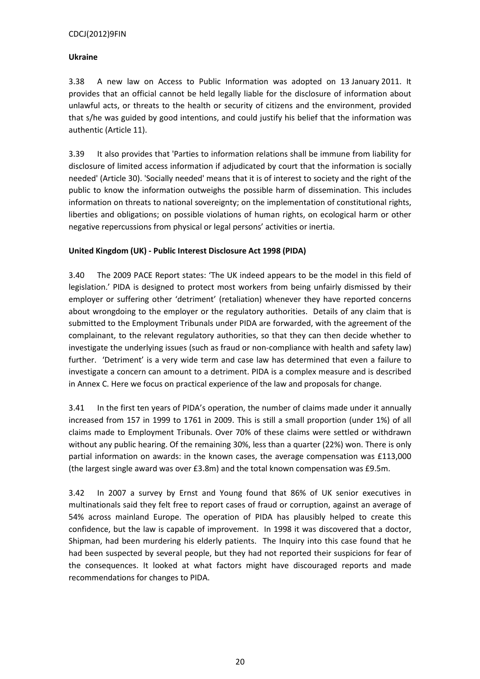# **Ukraine**

3.38 A new law on Access to Public Information was adopted on 13 January 2011. It provides that an official cannot be held legally liable for the disclosure of information about unlawful acts, or threats to the health or security of citizens and the environment, provided that s/he was guided by good intentions, and could justify his belief that the information was authentic (Article 11).

3.39 It also provides that 'Parties to information relations shall be immune from liability for disclosure of limited access information if adjudicated by court that the information is socially needed' (Article 30). 'Socially needed' means that it is of interest to society and the right of the public to know the information outweighs the possible harm of dissemination. This includes information on threats to national sovereignty; on the implementation of constitutional rights, liberties and obligations; on possible violations of human rights, on ecological harm or other negative repercussions from physical or legal persons' activities or inertia.

# **United Kingdom (UK) - Public Interest Disclosure Act 1998 (PIDA)**

3.40 The 2009 PACE Report states: 'The UK indeed appears to be the model in this field of legislation.' PIDA is designed to protect most workers from being unfairly dismissed by their employer or suffering other 'detriment' (retaliation) whenever they have reported concerns about wrongdoing to the employer or the regulatory authorities. Details of any claim that is submitted to the Employment Tribunals under PIDA are forwarded, with the agreement of the complainant, to the relevant regulatory authorities, so that they can then decide whether to investigate the underlying issues (such as fraud or non-compliance with health and safety law) further. 'Detriment' is a very wide term and case law has determined that even a failure to investigate a concern can amount to a detriment. PIDA is a complex measure and is described in Annex C. Here we focus on practical experience of the law and proposals for change.

3.41 In the first ten years of PIDA's operation, the number of claims made under it annually increased from 157 in 1999 to 1761 in 2009. This is still a small proportion (under 1%) of all claims made to Employment Tribunals. Over 70% of these claims were settled or withdrawn without any public hearing. Of the remaining 30%, less than a quarter (22%) won. There is only partial information on awards: in the known cases, the average compensation was £113,000 (the largest single award was over £3.8m) and the total known compensation was £9.5m.

3.42 In 2007 a survey by Ernst and Young found that 86% of UK senior executives in multinationals said they felt free to report cases of fraud or corruption, against an average of 54% across mainland Europe. The operation of PIDA has plausibly helped to create this confidence, but the law is capable of improvement. In 1998 it was discovered that a doctor, Shipman, had been murdering his elderly patients. The Inquiry into this case found that he had been suspected by several people, but they had not reported their suspicions for fear of the consequences. It looked at what factors might have discouraged reports and made recommendations for changes to PIDA.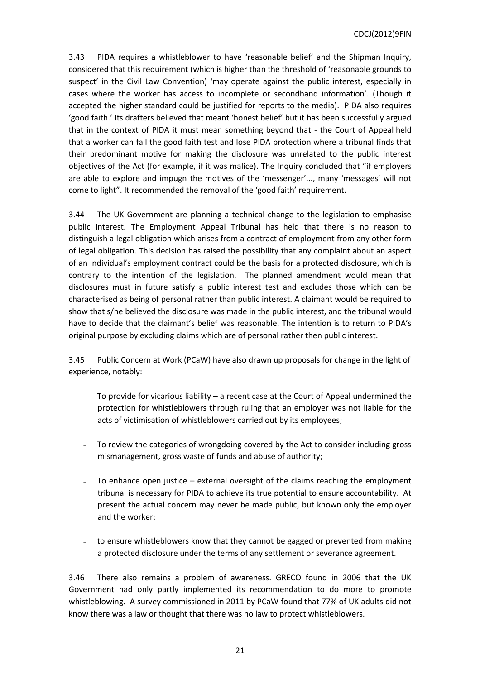3.43 PIDA requires a whistleblower to have 'reasonable belief' and the Shipman Inquiry, considered that this requirement (which is higher than the threshold of 'reasonable grounds to suspect' in the Civil Law Convention) 'may operate against the public interest, especially in cases where the worker has access to incomplete or secondhand information'. (Though it accepted the higher standard could be justified for reports to the media). PIDA also requires 'good faith.' Its drafters believed that meant 'honest belief' but it has been successfully argued that in the context of PIDA it must mean something beyond that - the Court of Appeal held that a worker can fail the good faith test and lose PIDA protection where a tribunal finds that their predominant motive for making the disclosure was unrelated to the public interest objectives of the Act (for example, if it was malice). The Inquiry concluded that "if employers are able to explore and impugn the motives of the 'messenger'..., many 'messages' will not come to light". It recommended the removal of the 'good faith' requirement.

3.44 The UK Government are planning a technical change to the legislation to emphasise public interest. The Employment Appeal Tribunal has held that there is no reason to distinguish a legal obligation which arises from a contract of employment from any other form of legal obligation. This decision has raised the possibility that any complaint about an aspect of an individual's employment contract could be the basis for a protected disclosure, which is contrary to the intention of the legislation. The planned amendment would mean that disclosures must in future satisfy a public interest test and excludes those which can be characterised as being of personal rather than public interest. A claimant would be required to show that s/he believed the disclosure was made in the public interest, and the tribunal would have to decide that the claimant's belief was reasonable. The intention is to return to PIDA's original purpose by excluding claims which are of personal rather then public interest.

3.45 Public Concern at Work (PCaW) have also drawn up proposals for change in the light of experience, notably:

- To provide for vicarious liability  $-$  a recent case at the Court of Appeal undermined the protection for whistleblowers through ruling that an employer was not liable for the acts of victimisation of whistleblowers carried out by its employees;
- To review the categories of wrongdoing covered by the Act to consider including gross mismanagement, gross waste of funds and abuse of authority;
- To enhance open justice  $-$  external oversight of the claims reaching the employment tribunal is necessary for PIDA to achieve its true potential to ensure accountability. At present the actual concern may never be made public, but known only the employer and the worker;
- to ensure whistleblowers know that they cannot be gagged or prevented from making a protected disclosure under the terms of any settlement or severance agreement.

3.46 There also remains a problem of awareness. GRECO found in 2006 that the UK Government had only partly implemented its recommendation to do more to promote whistleblowing. A survey commissioned in 2011 by PCaW found that 77% of UK adults did not know there was a law or thought that there was no law to protect whistleblowers.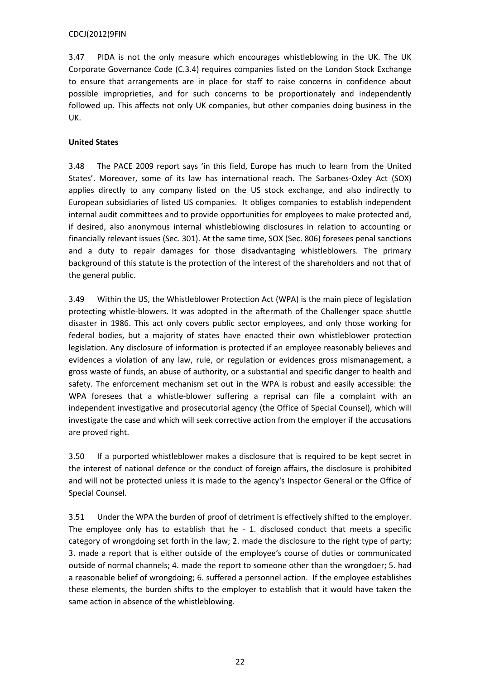3.47 PIDA is not the only measure which encourages whistleblowing in the UK. The UK Corporate Governance Code (C.3.4) requires companies listed on the London Stock Exchange to ensure that arrangements are in place for staff to raise concerns in confidence about possible improprieties, and for such concerns to be proportionately and independently followed up. This affects not only UK companies, but other companies doing business in the UK.

# **United States**

3.48 The PACE 2009 report says 'in this field, Europe has much to learn from the United States'. Moreover, some of its law has international reach. The Sarbanes-Oxley Act (SOX) applies directly to any company listed on the US stock exchange, and also indirectly to European subsidiaries of listed US companies. It obliges companies to establish independent internal audit committees and to provide opportunities for employees to make protected and, if desired, also anonymous internal whistleblowing disclosures in relation to accounting or financially relevant issues (Sec. 301). At the same time, SOX (Sec. 806) foresees penal sanctions and a duty to repair damages for those disadvantaging whistleblowers. The primary background of this statute is the protection of the interest of the shareholders and not that of the general public.

3.49 Within the US, the Whistleblower Protection Act (WPA) is the main piece of legislation protecting whistle-blowers. It was adopted in the aftermath of the Challenger space shuttle disaster in 1986. This act only covers public sector employees, and only those working for federal bodies, but a majority of states have enacted their own whistleblower protection legislation. Any disclosure of information is protected if an employee reasonably believes and evidences a violation of any law, rule, or regulation or evidences gross mismanagement, a gross waste of funds, an abuse of authority, or a substantial and specific danger to health and safety. The enforcement mechanism set out in the WPA is robust and easily accessible: the WPA foresees that a whistle-blower suffering a reprisal can file a complaint with an independent investigative and prosecutorial agency (the Office of Special Counsel), which will investigate the case and which will seek corrective action from the employer if the accusations are proved right.

3.50 If a purported whistleblower makes a disclosure that is required to be kept secret in the interest of national defence or the conduct of foreign affairs, the disclosure is prohibited and will not be protected unless it is made to the agency's Inspector General or the Office of Special Counsel.

3.51 Under the WPA the burden of proof of detriment is effectively shifted to the employer. The employee only has to establish that he - 1. disclosed conduct that meets a specific category of wrongdoing set forth in the law; 2. made the disclosure to the right type of party; 3. made a report that is either outside of the employee's course of duties or communicated outside of normal channels; 4. made the report to someone other than the wrongdoer; 5. had a reasonable belief of wrongdoing; 6. suffered a personnel action. If the employee establishes these elements, the burden shifts to the employer to establish that it would have taken the same action in absence of the whistleblowing.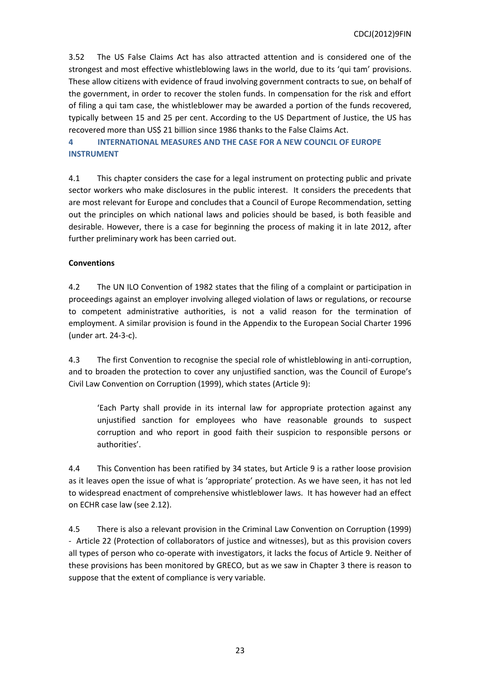3.52 The US False Claims Act has also attracted attention and is considered one of the strongest and most effective whistleblowing laws in the world, due to its 'qui tam' provisions. These allow citizens with evidence of fraud involving government contracts to sue, on behalf of the government, in order to recover the stolen funds. In compensation for the risk and effort of filing a qui tam case, the whistleblower may be awarded a portion of the funds recovered, typically between 15 and 25 per cent. According to the US Department of Justice, the US has recovered more than US\$ 21 billion since 1986 thanks to the False Claims Act.

# <span id="page-22-0"></span>**4 INTERNATIONAL MEASURES AND THE CASE FOR A NEW COUNCIL OF EUROPE INSTRUMENT**

4.1 This chapter considers the case for a legal instrument on protecting public and private sector workers who make disclosures in the public interest. It considers the precedents that are most relevant for Europe and concludes that a Council of Europe Recommendation, setting out the principles on which national laws and policies should be based, is both feasible and desirable. However, there is a case for beginning the process of making it in late 2012, after further preliminary work has been carried out.

# **Conventions**

4.2 The UN ILO Convention of 1982 states that the filing of a complaint or participation in proceedings against an employer involving alleged violation of laws or regulations, or recourse to competent administrative authorities, is not a valid reason for the termination of employment. A similar provision is found in the Appendix to the European Social Charter 1996 (under art. 24-3-c).

4.3 The first Convention to recognise the special role of whistleblowing in anti-corruption, and to broaden the protection to cover any unjustified sanction, was the Council of Europe's Civil Law Convention on Corruption (1999), which states (Article 9):

'Each Party shall provide in its internal law for appropriate protection against any unjustified sanction for employees who have reasonable grounds to suspect corruption and who report in good faith their suspicion to responsible persons or authorities'.

4.4 This Convention has been ratified by 34 states, but Article 9 is a rather loose provision as it leaves open the issue of what is 'appropriate' protection. As we have seen, it has not led to widespread enactment of comprehensive whistleblower laws. It has however had an effect on ECHR case law (see 2.12).

4.5 There is also a relevant provision in the Criminal Law Convention on Corruption (1999) - Article 22 (Protection of collaborators of justice and witnesses), but as this provision covers all types of person who co-operate with investigators, it lacks the focus of Article 9. Neither of these provisions has been monitored by GRECO, but as we saw in Chapter 3 there is reason to suppose that the extent of compliance is very variable.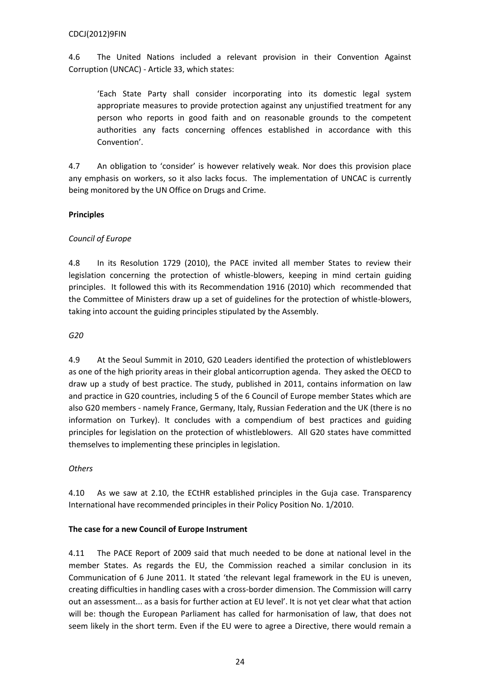4.6 The United Nations included a relevant provision in their Convention Against Corruption (UNCAC) - Article 33, which states:

'Each State Party shall consider incorporating into its domestic legal system appropriate measures to provide protection against any unjustified treatment for any person who reports in good faith and on reasonable grounds to the competent authorities any facts concerning offences established in accordance with this Convention'.

4.7 An obligation to 'consider' is however relatively weak. Nor does this provision place any emphasis on workers, so it also lacks focus. The implementation of UNCAC is currently being monitored by the UN Office on Drugs and Crime.

# **Principles**

# *Council of Europe*

4.8 In its Resolution 1729 (2010), the PACE invited all member States to review their legislation concerning the protection of whistle-blowers, keeping in mind certain guiding principles. It followed this with its Recommendation 1916 (2010) which recommended that the Committee of Ministers draw up a set of guidelines for the protection of whistle-blowers, taking into account the guiding principles stipulated by the Assembly.

## *G20*

4.9 At the Seoul Summit in 2010, G20 Leaders identified the protection of whistleblowers as one of the high priority areas in their global anticorruption agenda. They asked the OECD to draw up a study of best practice. The study, published in 2011, contains information on law and practice in G20 countries, including 5 of the 6 Council of Europe member States which are also G20 members - namely France, Germany, Italy, Russian Federation and the UK (there is no information on Turkey). It concludes with a compendium of best practices and guiding principles for legislation on the protection of whistleblowers. All G20 states have committed themselves to implementing these principles in legislation.

# *Others*

4.10 As we saw at 2.10, the ECtHR established principles in the Guja case. Transparency International have recommended principles in their Policy Position No. 1/2010.

## **The case for a new Council of Europe Instrument**

4.11 The PACE Report of 2009 said that much needed to be done at national level in the member States. As regards the EU, the Commission reached a similar conclusion in its Communication of 6 June 2011. It stated 'the relevant legal framework in the EU is uneven, creating difficulties in handling cases with a cross-border dimension. The Commission will carry out an assessment... as a basis for further action at EU level'. It is not yet clear what that action will be: though the European Parliament has called for harmonisation of law, that does not seem likely in the short term. Even if the EU were to agree a Directive, there would remain a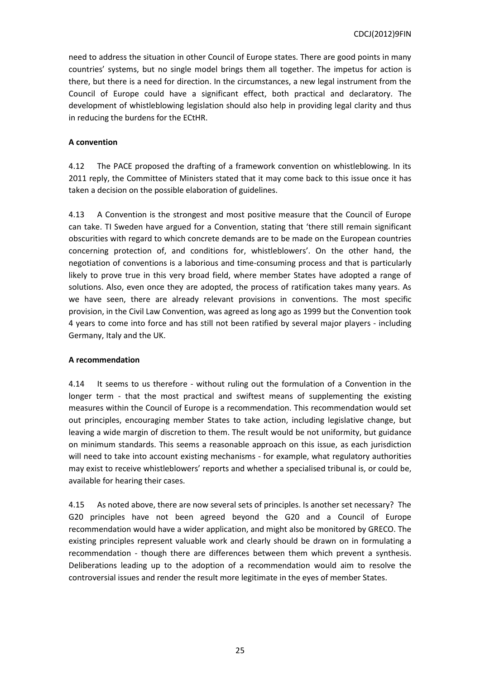need to address the situation in other Council of Europe states. There are good points in many countries' systems, but no single model brings them all together. The impetus for action is there, but there is a need for direction. In the circumstances, a new legal instrument from the Council of Europe could have a significant effect, both practical and declaratory. The development of whistleblowing legislation should also help in providing legal clarity and thus in reducing the burdens for the ECtHR.

## **A convention**

4.12 The PACE proposed the drafting of a framework convention on whistleblowing. In its 2011 reply, the Committee of Ministers stated that it may come back to this issue once it has taken a decision on the possible elaboration of guidelines.

4.13 A Convention is the strongest and most positive measure that the Council of Europe can take. TI Sweden have argued for a Convention, stating that 'there still remain significant obscurities with regard to which concrete demands are to be made on the European countries concerning protection of, and conditions for, whistleblowers'. On the other hand, the negotiation of conventions is a laborious and time-consuming process and that is particularly likely to prove true in this very broad field, where member States have adopted a range of solutions. Also, even once they are adopted, the process of ratification takes many years. As we have seen, there are already relevant provisions in conventions. The most specific provision, in the Civil Law Convention, was agreed as long ago as 1999 but the Convention took 4 years to come into force and has still not been ratified by several major players - including Germany, Italy and the UK.

## **A recommendation**

4.14 It seems to us therefore - without ruling out the formulation of a Convention in the longer term - that the most practical and swiftest means of supplementing the existing measures within the Council of Europe is a recommendation. This recommendation would set out principles, encouraging member States to take action, including legislative change, but leaving a wide margin of discretion to them. The result would be not uniformity, but guidance on minimum standards. This seems a reasonable approach on this issue, as each jurisdiction will need to take into account existing mechanisms - for example, what regulatory authorities may exist to receive whistleblowers' reports and whether a specialised tribunal is, or could be, available for hearing their cases.

4.15 As noted above, there are now several sets of principles. Is another set necessary? The G20 principles have not been agreed beyond the G20 and a Council of Europe recommendation would have a wider application, and might also be monitored by GRECO. The existing principles represent valuable work and clearly should be drawn on in formulating a recommendation - though there are differences between them which prevent a synthesis. Deliberations leading up to the adoption of a recommendation would aim to resolve the controversial issues and render the result more legitimate in the eyes of member States.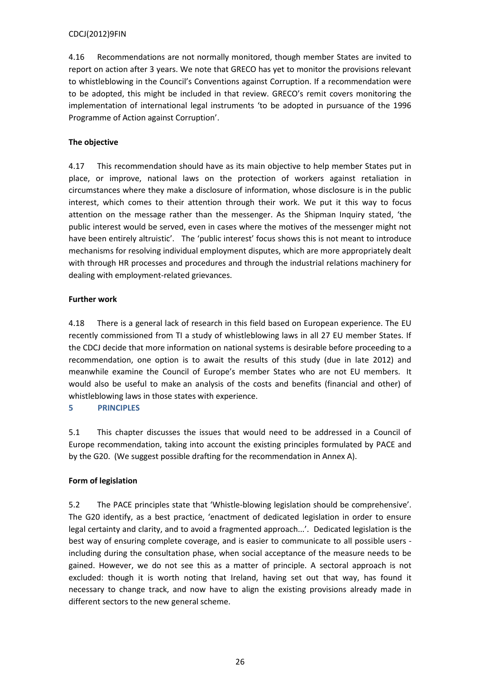4.16 Recommendations are not normally monitored, though member States are invited to report on action after 3 years. We note that GRECO has yet to monitor the provisions relevant to whistleblowing in the Council's Conventions against Corruption. If a recommendation were to be adopted, this might be included in that review. GRECO's remit covers monitoring the implementation of international legal instruments 'to be adopted in pursuance of the 1996 Programme of Action against Corruption'.

# **The objective**

4.17 This recommendation should have as its main objective to help member States put in place, or improve, national laws on the protection of workers against retaliation in circumstances where they make a disclosure of information, whose disclosure is in the public interest, which comes to their attention through their work. We put it this way to focus attention on the message rather than the messenger. As the Shipman Inquiry stated, 'the public interest would be served, even in cases where the motives of the messenger might not have been entirely altruistic'. The 'public interest' focus shows this is not meant to introduce mechanisms for resolving individual employment disputes, which are more appropriately dealt with through HR processes and procedures and through the industrial relations machinery for dealing with employment-related grievances.

# **Further work**

4.18 There is a general lack of research in this field based on European experience. The EU recently commissioned from TI a study of whistleblowing laws in all 27 EU member States. If the CDCJ decide that more information on national systems is desirable before proceeding to a recommendation, one option is to await the results of this study (due in late 2012) and meanwhile examine the Council of Europe's member States who are not EU members. It would also be useful to make an analysis of the costs and benefits (financial and other) of whistleblowing laws in those states with experience.

<span id="page-25-0"></span>**5 PRINCIPLES**

5.1 This chapter discusses the issues that would need to be addressed in a Council of Europe recommendation, taking into account the existing principles formulated by PACE and by the G20. (We suggest possible drafting for the recommendation in Annex A).

# **Form of legislation**

5.2 The PACE principles state that 'Whistle-blowing legislation should be comprehensive'. The G20 identify, as a best practice, 'enactment of dedicated legislation in order to ensure legal certainty and clarity, and to avoid a fragmented approach...'. Dedicated legislation is the best way of ensuring complete coverage, and is easier to communicate to all possible users including during the consultation phase, when social acceptance of the measure needs to be gained. However, we do not see this as a matter of principle. A sectoral approach is not excluded: though it is worth noting that Ireland, having set out that way, has found it necessary to change track, and now have to align the existing provisions already made in different sectors to the new general scheme.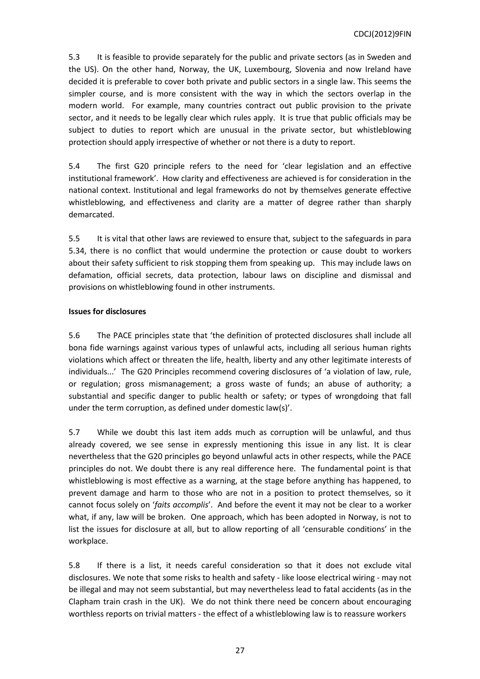5.3 It is feasible to provide separately for the public and private sectors (as in Sweden and the US). On the other hand, Norway, the UK, Luxembourg, Slovenia and now Ireland have decided it is preferable to cover both private and public sectors in a single law. This seems the simpler course, and is more consistent with the way in which the sectors overlap in the modern world. For example, many countries contract out public provision to the private sector, and it needs to be legally clear which rules apply. It is true that public officials may be subject to duties to report which are unusual in the private sector, but whistleblowing protection should apply irrespective of whether or not there is a duty to report.

5.4 The first G20 principle refers to the need for 'clear legislation and an effective institutional framework'. How clarity and effectiveness are achieved is for consideration in the national context. Institutional and legal frameworks do not by themselves generate effective whistleblowing, and effectiveness and clarity are a matter of degree rather than sharply demarcated.

5.5 It is vital that other laws are reviewed to ensure that, subject to the safeguards in para 5.34, there is no conflict that would undermine the protection or cause doubt to workers about their safety sufficient to risk stopping them from speaking up. This may include laws on defamation, official secrets, data protection, labour laws on discipline and dismissal and provisions on whistleblowing found in other instruments.

## **Issues for disclosures**

5.6 The PACE principles state that 'the definition of protected disclosures shall include all bona fide warnings against various types of unlawful acts, including all serious human rights violations which affect or threaten the life, health, liberty and any other legitimate interests of individuals...' The G20 Principles recommend covering disclosures of 'a violation of law, rule, or regulation; gross mismanagement; a gross waste of funds; an abuse of authority; a substantial and specific danger to public health or safety; or types of wrongdoing that fall under the term corruption, as defined under domestic law(s)'.

5.7 While we doubt this last item adds much as corruption will be unlawful, and thus already covered, we see sense in expressly mentioning this issue in any list. It is clear nevertheless that the G20 principles go beyond unlawful acts in other respects, while the PACE principles do not. We doubt there is any real difference here. The fundamental point is that whistleblowing is most effective as a warning, at the stage before anything has happened, to prevent damage and harm to those who are not in a position to protect themselves, so it cannot focus solely on '*faits accomplis*'. And before the event it may not be clear to a worker what, if any, law will be broken. One approach, which has been adopted in Norway, is not to list the issues for disclosure at all, but to allow reporting of all 'censurable conditions' in the workplace.

5.8 If there is a list, it needs careful consideration so that it does not exclude vital disclosures. We note that some risks to health and safety - like loose electrical wiring - may not be illegal and may not seem substantial, but may nevertheless lead to fatal accidents (as in the Clapham train crash in the UK). We do not think there need be concern about encouraging worthless reports on trivial matters - the effect of a whistleblowing law is to reassure workers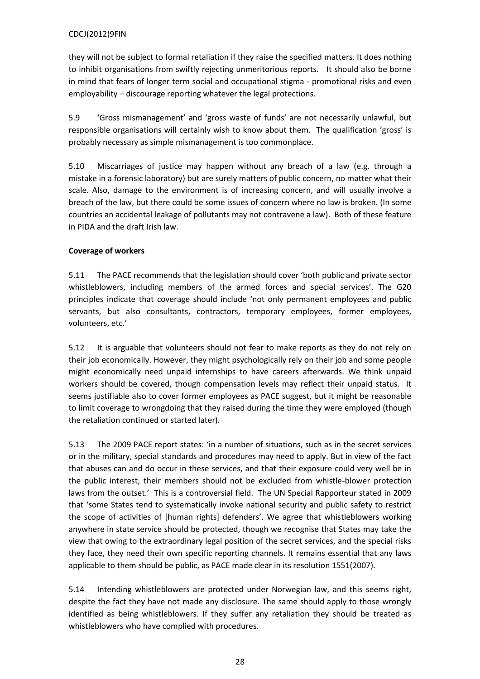they will not be subject to formal retaliation if they raise the specified matters. It does nothing to inhibit organisations from swiftly rejecting unmeritorious reports. It should also be borne in mind that fears of longer term social and occupational stigma - promotional risks and even employability – discourage reporting whatever the legal protections.

5.9 'Gross mismanagement' and 'gross waste of funds' are not necessarily unlawful, but responsible organisations will certainly wish to know about them. The qualification 'gross' is probably necessary as simple mismanagement is too commonplace.

5.10 Miscarriages of justice may happen without any breach of a law (e.g. through a mistake in a forensic laboratory) but are surely matters of public concern, no matter what their scale. Also, damage to the environment is of increasing concern, and will usually involve a breach of the law, but there could be some issues of concern where no law is broken. (In some countries an accidental leakage of pollutants may not contravene a law). Both of these feature in PIDA and the draft Irish law.

# **Coverage of workers**

5.11 The PACE recommends that the legislation should cover 'both public and private sector whistleblowers, including members of the armed forces and special services'. The G20 principles indicate that coverage should include 'not only permanent employees and public servants, but also consultants, contractors, temporary employees, former employees, volunteers, etc.'

5.12 It is arguable that volunteers should not fear to make reports as they do not rely on their job economically. However, they might psychologically rely on their job and some people might economically need unpaid internships to have careers afterwards. We think unpaid workers should be covered, though compensation levels may reflect their unpaid status. It seems justifiable also to cover former employees as PACE suggest, but it might be reasonable to limit coverage to wrongdoing that they raised during the time they were employed (though the retaliation continued or started later).

5.13 The 2009 PACE report states: 'in a number of situations, such as in the secret services or in the military, special standards and procedures may need to apply. But in view of the fact that abuses can and do occur in these services, and that their exposure could very well be in the public interest, their members should not be excluded from whistle-blower protection laws from the outset.' This is a controversial field. The UN Special Rapporteur stated in 2009 that 'some States tend to systematically invoke national security and public safety to restrict the scope of activities of [human rights] defenders'. We agree that whistleblowers working anywhere in state service should be protected, though we recognise that States may take the view that owing to the extraordinary legal position of the secret services, and the special risks they face, they need their own specific reporting channels. It remains essential that any laws applicable to them should be public, as PACE made clear in its resolution 1551(2007).

5.14 Intending whistleblowers are protected under Norwegian law, and this seems right, despite the fact they have not made any disclosure. The same should apply to those wrongly identified as being whistleblowers. If they suffer any retaliation they should be treated as whistleblowers who have complied with procedures.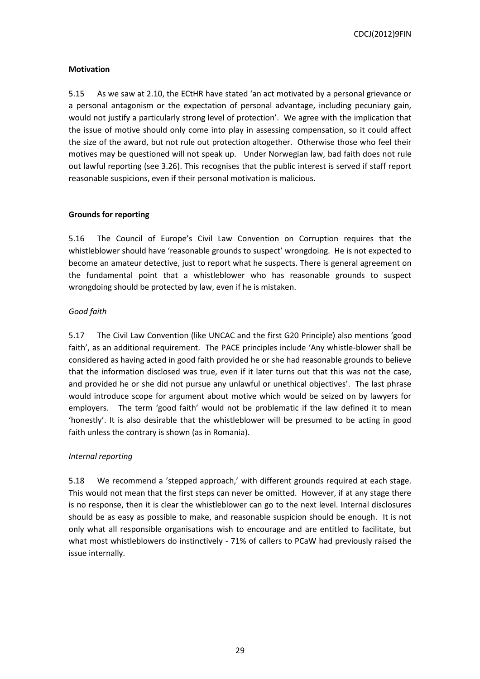## **Motivation**

5.15 As we saw at 2.10, the ECtHR have stated 'an act motivated by a personal grievance or a personal antagonism or the expectation of personal advantage, including pecuniary gain, would not justify a particularly strong level of protection'. We agree with the implication that the issue of motive should only come into play in assessing compensation, so it could affect the size of the award, but not rule out protection altogether. Otherwise those who feel their motives may be questioned will not speak up. Under Norwegian law, bad faith does not rule out lawful reporting (see 3.26). This recognises that the public interest is served if staff report reasonable suspicions, even if their personal motivation is malicious.

## **Grounds for reporting**

5.16 The Council of Europe's Civil Law Convention on Corruption requires that the whistleblower should have 'reasonable grounds to suspect' wrongdoing. He is not expected to become an amateur detective, just to report what he suspects. There is general agreement on the fundamental point that a whistleblower who has reasonable grounds to suspect wrongdoing should be protected by law, even if he is mistaken.

# *Good faith*

5.17 The Civil Law Convention (like UNCAC and the first G20 Principle) also mentions 'good faith', as an additional requirement. The PACE principles include 'Any whistle-blower shall be considered as having acted in good faith provided he or she had reasonable grounds to believe that the information disclosed was true, even if it later turns out that this was not the case, and provided he or she did not pursue any unlawful or unethical objectives'. The last phrase would introduce scope for argument about motive which would be seized on by lawyers for employers. The term 'good faith' would not be problematic if the law defined it to mean 'honestly'. It is also desirable that the whistleblower will be presumed to be acting in good faith unless the contrary is shown (as in Romania).

# *Internal reporting*

5.18 We recommend a 'stepped approach,' with different grounds required at each stage. This would not mean that the first steps can never be omitted. However, if at any stage there is no response, then it is clear the whistleblower can go to the next level. Internal disclosures should be as easy as possible to make, and reasonable suspicion should be enough. It is not only what all responsible organisations wish to encourage and are entitled to facilitate, but what most whistleblowers do instinctively - 71% of callers to PCaW had previously raised the issue internally.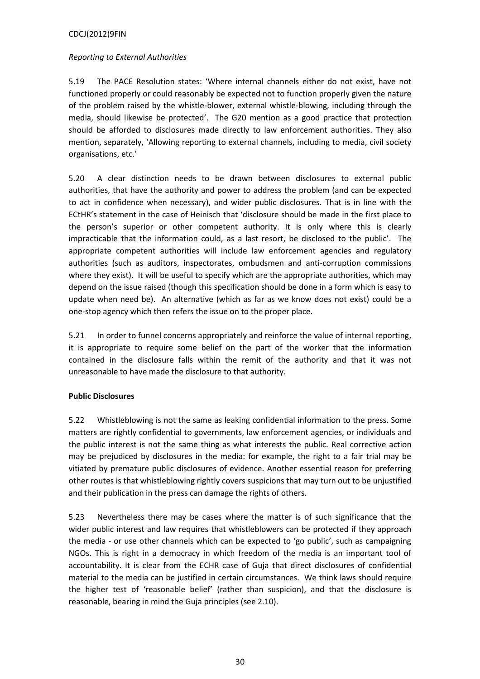## *Reporting to External Authorities*

5.19 The PACE Resolution states: 'Where internal channels either do not exist, have not functioned properly or could reasonably be expected not to function properly given the nature of the problem raised by the whistle-blower, external whistle-blowing, including through the media, should likewise be protected'. The G20 mention as a good practice that protection should be afforded to disclosures made directly to law enforcement authorities. They also mention, separately, 'Allowing reporting to external channels, including to media, civil society organisations, etc.'

5.20 A clear distinction needs to be drawn between disclosures to external public authorities, that have the authority and power to address the problem (and can be expected to act in confidence when necessary), and wider public disclosures. That is in line with the ECtHR's statement in the case of Heinisch that 'disclosure should be made in the first place to the person's superior or other competent authority. It is only where this is clearly impracticable that the information could, as a last resort, be disclosed to the public'. The appropriate competent authorities will include law enforcement agencies and regulatory authorities (such as auditors, inspectorates, ombudsmen and anti-corruption commissions where they exist). It will be useful to specify which are the appropriate authorities, which may depend on the issue raised (though this specification should be done in a form which is easy to update when need be). An alternative (which as far as we know does not exist) could be a one-stop agency which then refers the issue on to the proper place.

5.21 In order to funnel concerns appropriately and reinforce the value of internal reporting, it is appropriate to require some belief on the part of the worker that the information contained in the disclosure falls within the remit of the authority and that it was not unreasonable to have made the disclosure to that authority.

# **Public Disclosures**

5.22 Whistleblowing is not the same as leaking confidential information to the press. Some matters are rightly confidential to governments, law enforcement agencies, or individuals and the public interest is not the same thing as what interests the public. Real corrective action may be prejudiced by disclosures in the media: for example, the right to a fair trial may be vitiated by premature public disclosures of evidence. Another essential reason for preferring other routes is that whistleblowing rightly covers suspicions that may turn out to be unjustified and their publication in the press can damage the rights of others.

5.23 Nevertheless there may be cases where the matter is of such significance that the wider public interest and law requires that whistleblowers can be protected if they approach the media - or use other channels which can be expected to 'go public', such as campaigning NGOs. This is right in a democracy in which freedom of the media is an important tool of accountability. It is clear from the ECHR case of Guja that direct disclosures of confidential material to the media can be justified in certain circumstances. We think laws should require the higher test of 'reasonable belief' (rather than suspicion), and that the disclosure is reasonable, bearing in mind the Guja principles (see 2.10).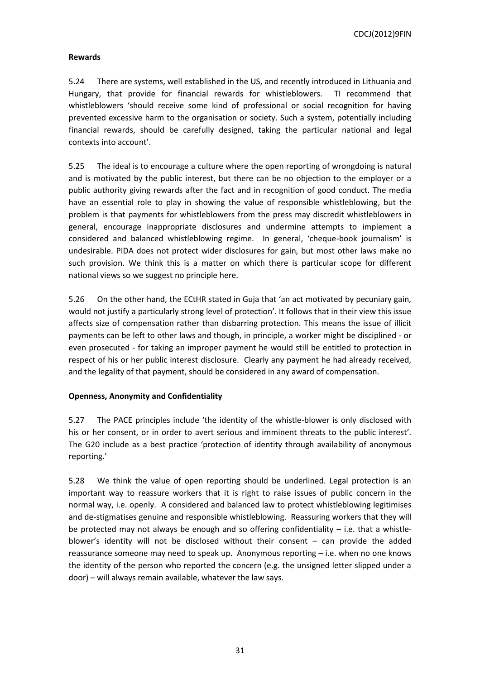## **Rewards**

5.24 There are systems, well established in the US, and recently introduced in Lithuania and Hungary, that provide for financial rewards for whistleblowers. TI recommend that whistleblowers 'should receive some kind of professional or social recognition for having prevented excessive harm to the organisation or society. Such a system, potentially including financial rewards, should be carefully designed, taking the particular national and legal contexts into account'.

5.25 The ideal is to encourage a culture where the open reporting of wrongdoing is natural and is motivated by the public interest, but there can be no objection to the employer or a public authority giving rewards after the fact and in recognition of good conduct. The media have an essential role to play in showing the value of responsible whistleblowing, but the problem is that payments for whistleblowers from the press may discredit whistleblowers in general, encourage inappropriate disclosures and undermine attempts to implement a considered and balanced whistleblowing regime. In general, 'cheque-book journalism' is undesirable. PIDA does not protect wider disclosures for gain, but most other laws make no such provision. We think this is a matter on which there is particular scope for different national views so we suggest no principle here.

5.26 On the other hand, the ECtHR stated in Guja that 'an act motivated by pecuniary gain, would not justify a particularly strong level of protection'. It follows that in their view this issue affects size of compensation rather than disbarring protection. This means the issue of illicit payments can be left to other laws and though, in principle, a worker might be disciplined - or even prosecuted - for taking an improper payment he would still be entitled to protection in respect of his or her public interest disclosure. Clearly any payment he had already received, and the legality of that payment, should be considered in any award of compensation.

## **Openness, Anonymity and Confidentiality**

5.27 The PACE principles include 'the identity of the whistle-blower is only disclosed with his or her consent, or in order to avert serious and imminent threats to the public interest'. The G20 include as a best practice 'protection of identity through availability of anonymous reporting.'

5.28 We think the value of open reporting should be underlined. Legal protection is an important way to reassure workers that it is right to raise issues of public concern in the normal way, i.e. openly. A considered and balanced law to protect whistleblowing legitimises and de-stigmatises genuine and responsible whistleblowing. Reassuring workers that they will be protected may not always be enough and so offering confidentiality – i.e. that a whistleblower's identity will not be disclosed without their consent – can provide the added reassurance someone may need to speak up. Anonymous reporting – i.e. when no one knows the identity of the person who reported the concern (e.g. the unsigned letter slipped under a door) – will always remain available, whatever the law says.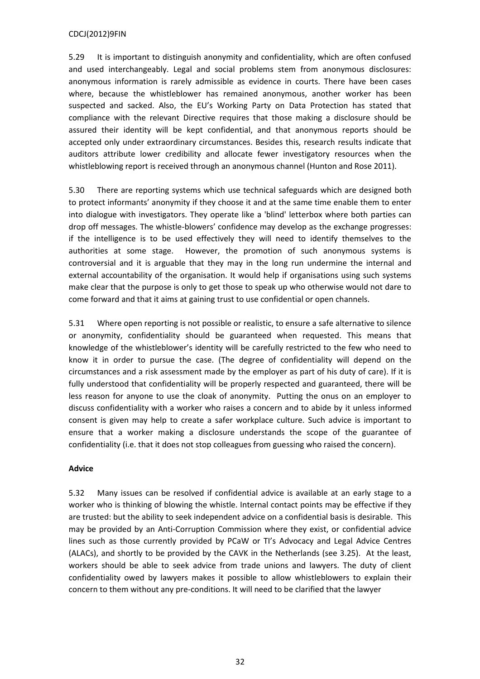5.29 It is important to distinguish anonymity and confidentiality, which are often confused and used interchangeably. Legal and social problems stem from anonymous disclosures: anonymous information is rarely admissible as evidence in courts. There have been cases where, because the whistleblower has remained anonymous, another worker has been suspected and sacked. Also, the EU's Working Party on Data Protection has stated that compliance with the relevant Directive requires that those making a disclosure should be assured their identity will be kept confidential, and that anonymous reports should be accepted only under extraordinary circumstances. Besides this, research results indicate that auditors attribute lower credibility and allocate fewer investigatory resources when the whistleblowing report is received through an anonymous channel (Hunton and Rose 2011).

5.30 There are reporting systems which use technical safeguards which are designed both to protect informants' anonymity if they choose it and at the same time enable them to enter into dialogue with investigators. They operate like a 'blind' letterbox where both parties can drop off messages. The whistle-blowers' confidence may develop as the exchange progresses: if the intelligence is to be used effectively they will need to identify themselves to the authorities at some stage. However, the promotion of such anonymous systems is controversial and it is arguable that they may in the long run undermine the internal and external accountability of the organisation. It would help if organisations using such systems make clear that the purpose is only to get those to speak up who otherwise would not dare to come forward and that it aims at gaining trust to use confidential or open channels.

5.31 Where open reporting is not possible or realistic, to ensure a safe alternative to silence or anonymity, confidentiality should be guaranteed when requested. This means that knowledge of the whistleblower's identity will be carefully restricted to the few who need to know it in order to pursue the case. (The degree of confidentiality will depend on the circumstances and a risk assessment made by the employer as part of his duty of care). If it is fully understood that confidentiality will be properly respected and guaranteed, there will be less reason for anyone to use the cloak of anonymity. Putting the onus on an employer to discuss confidentiality with a worker who raises a concern and to abide by it unless informed consent is given may help to create a safer workplace culture. Such advice is important to ensure that a worker making a disclosure understands the scope of the guarantee of confidentiality (i.e. that it does not stop colleagues from guessing who raised the concern).

## **Advice**

5.32 Many issues can be resolved if confidential advice is available at an early stage to a worker who is thinking of blowing the whistle. Internal contact points may be effective if they are trusted: but the ability to seek independent advice on a confidential basis is desirable. This may be provided by an Anti-Corruption Commission where they exist, or confidential advice lines such as those currently provided by PCaW or TI's Advocacy and Legal Advice Centres (ALACs), and shortly to be provided by the CAVK in the Netherlands (see 3.25). At the least, workers should be able to seek advice from trade unions and lawyers. The duty of client confidentiality owed by lawyers makes it possible to allow whistleblowers to explain their concern to them without any pre-conditions. It will need to be clarified that the lawyer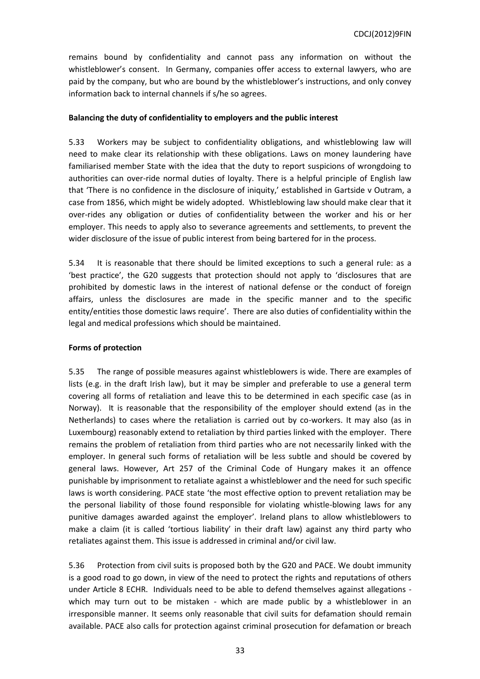remains bound by confidentiality and cannot pass any information on without the whistleblower's consent. In Germany, companies offer access to external lawyers, who are paid by the company, but who are bound by the whistleblower's instructions, and only convey information back to internal channels if s/he so agrees.

## **Balancing the duty of confidentiality to employers and the public interest**

5.33 Workers may be subject to confidentiality obligations, and whistleblowing law will need to make clear its relationship with these obligations. Laws on money laundering have familiarised member State with the idea that the duty to report suspicions of wrongdoing to authorities can over-ride normal duties of loyalty. There is a helpful principle of English law that 'There is no confidence in the disclosure of iniquity,' established in Gartside v Outram, a case from 1856, which might be widely adopted. Whistleblowing law should make clear that it over-rides any obligation or duties of confidentiality between the worker and his or her employer. This needs to apply also to severance agreements and settlements, to prevent the wider disclosure of the issue of public interest from being bartered for in the process.

5.34 It is reasonable that there should be limited exceptions to such a general rule: as a 'best practice', the G20 suggests that protection should not apply to 'disclosures that are prohibited by domestic laws in the interest of national defense or the conduct of foreign affairs, unless the disclosures are made in the specific manner and to the specific entity/entities those domestic laws require'. There are also duties of confidentiality within the legal and medical professions which should be maintained.

## **Forms of protection**

5.35 The range of possible measures against whistleblowers is wide. There are examples of lists (e.g. in the draft Irish law), but it may be simpler and preferable to use a general term covering all forms of retaliation and leave this to be determined in each specific case (as in Norway). It is reasonable that the responsibility of the employer should extend (as in the Netherlands) to cases where the retaliation is carried out by co-workers. It may also (as in Luxembourg) reasonably extend to retaliation by third parties linked with the employer. There remains the problem of retaliation from third parties who are not necessarily linked with the employer. In general such forms of retaliation will be less subtle and should be covered by general laws. However, Art 257 of the Criminal Code of Hungary makes it an offence punishable by imprisonment to retaliate against a whistleblower and the need for such specific laws is worth considering. PACE state 'the most effective option to prevent retaliation may be the personal liability of those found responsible for violating whistle-blowing laws for any punitive damages awarded against the employer'. Ireland plans to allow whistleblowers to make a claim (it is called 'tortious liability' in their draft law) against any third party who retaliates against them. This issue is addressed in criminal and/or civil law.

5.36 Protection from civil suits is proposed both by the G20 and PACE. We doubt immunity is a good road to go down, in view of the need to protect the rights and reputations of others under Article 8 ECHR. Individuals need to be able to defend themselves against allegations which may turn out to be mistaken - which are made public by a whistleblower in an irresponsible manner. It seems only reasonable that civil suits for defamation should remain available. PACE also calls for protection against criminal prosecution for defamation or breach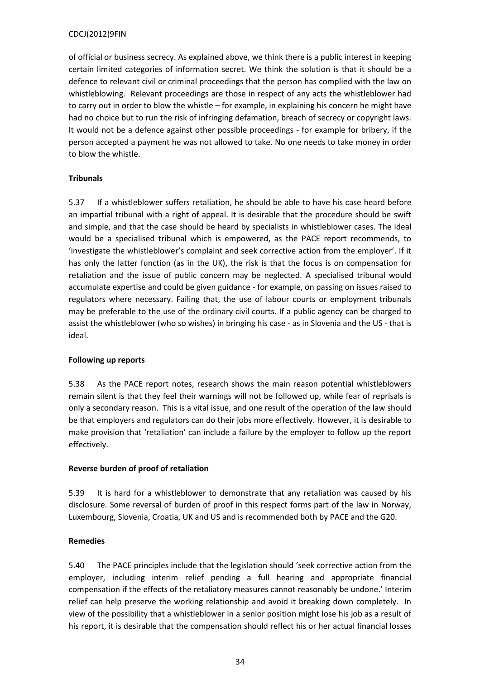of official or business secrecy. As explained above, we think there is a public interest in keeping certain limited categories of information secret. We think the solution is that it should be a defence to relevant civil or criminal proceedings that the person has complied with the law on whistleblowing. Relevant proceedings are those in respect of any acts the whistleblower had to carry out in order to blow the whistle – for example, in explaining his concern he might have had no choice but to run the risk of infringing defamation, breach of secrecy or copyright laws. It would not be a defence against other possible proceedings - for example for bribery, if the person accepted a payment he was not allowed to take. No one needs to take money in order to blow the whistle.

# **Tribunals**

5.37 If a whistleblower suffers retaliation, he should be able to have his case heard before an impartial tribunal with a right of appeal. It is desirable that the procedure should be swift and simple, and that the case should be heard by specialists in whistleblower cases. The ideal would be a specialised tribunal which is empowered, as the PACE report recommends, to 'investigate the whistleblower's complaint and seek corrective action from the employer'. If it has only the latter function (as in the UK), the risk is that the focus is on compensation for retaliation and the issue of public concern may be neglected. A specialised tribunal would accumulate expertise and could be given guidance - for example, on passing on issues raised to regulators where necessary. Failing that, the use of labour courts or employment tribunals may be preferable to the use of the ordinary civil courts. If a public agency can be charged to assist the whistleblower (who so wishes) in bringing his case - as in Slovenia and the US - that is ideal.

## **Following up reports**

5.38 As the PACE report notes, research shows the main reason potential whistleblowers remain silent is that they feel their warnings will not be followed up, while fear of reprisals is only a secondary reason. This is a vital issue, and one result of the operation of the law should be that employers and regulators can do their jobs more effectively. However, it is desirable to make provision that 'retaliation' can include a failure by the employer to follow up the report effectively.

## **Reverse burden of proof of retaliation**

5.39 It is hard for a whistleblower to demonstrate that any retaliation was caused by his disclosure. Some reversal of burden of proof in this respect forms part of the law in Norway, Luxembourg, Slovenia, Croatia, UK and US and is recommended both by PACE and the G20.

## **Remedies**

5.40 The PACE principles include that the legislation should 'seek corrective action from the employer, including interim relief pending a full hearing and appropriate financial compensation if the effects of the retaliatory measures cannot reasonably be undone.' Interim relief can help preserve the working relationship and avoid it breaking down completely. In view of the possibility that a whistleblower in a senior position might lose his job as a result of his report, it is desirable that the compensation should reflect his or her actual financial losses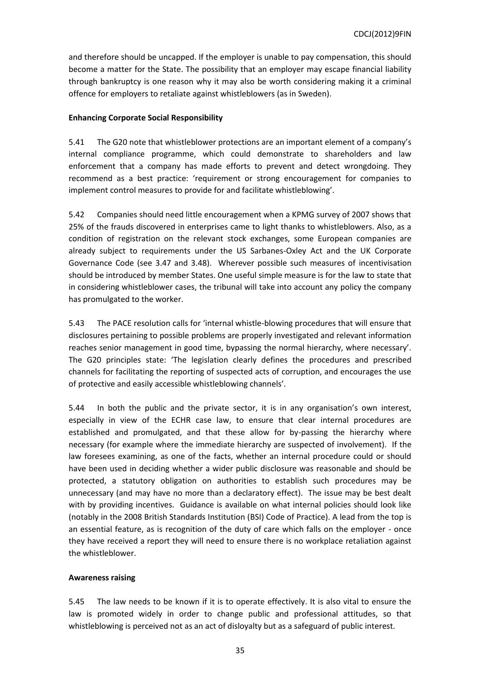and therefore should be uncapped. If the employer is unable to pay compensation, this should become a matter for the State. The possibility that an employer may escape financial liability through bankruptcy is one reason why it may also be worth considering making it a criminal offence for employers to retaliate against whistleblowers (as in Sweden).

## **Enhancing Corporate Social Responsibility**

5.41 The G20 note that whistleblower protections are an important element of a company's internal compliance programme, which could demonstrate to shareholders and law enforcement that a company has made efforts to prevent and detect wrongdoing. They recommend as a best practice: 'requirement or strong encouragement for companies to implement control measures to provide for and facilitate whistleblowing'.

5.42 Companies should need little encouragement when a KPMG survey of 2007 shows that 25% of the frauds discovered in enterprises came to light thanks to whistleblowers. Also, as a condition of registration on the relevant stock exchanges, some European companies are already subject to requirements under the US Sarbanes-Oxley Act and the UK Corporate Governance Code (see 3.47 and 3.48). Wherever possible such measures of incentivisation should be introduced by member States. One useful simple measure is for the law to state that in considering whistleblower cases, the tribunal will take into account any policy the company has promulgated to the worker.

5.43 The PACE resolution calls for 'internal whistle-blowing procedures that will ensure that disclosures pertaining to possible problems are properly investigated and relevant information reaches senior management in good time, bypassing the normal hierarchy, where necessary'. The G20 principles state: 'The legislation clearly defines the procedures and prescribed channels for facilitating the reporting of suspected acts of corruption, and encourages the use of protective and easily accessible whistleblowing channels'.

5.44 In both the public and the private sector, it is in any organisation's own interest, especially in view of the ECHR case law, to ensure that clear internal procedures are established and promulgated, and that these allow for by-passing the hierarchy where necessary (for example where the immediate hierarchy are suspected of involvement). If the law foresees examining, as one of the facts, whether an internal procedure could or should have been used in deciding whether a wider public disclosure was reasonable and should be protected, a statutory obligation on authorities to establish such procedures may be unnecessary (and may have no more than a declaratory effect). The issue may be best dealt with by providing incentives. Guidance is available on what internal policies should look like (notably in the 2008 British Standards Institution (BSI) Code of Practice). A lead from the top is an essential feature, as is recognition of the duty of care which falls on the employer - once they have received a report they will need to ensure there is no workplace retaliation against the whistleblower.

## **Awareness raising**

5.45 The law needs to be known if it is to operate effectively. It is also vital to ensure the law is promoted widely in order to change public and professional attitudes, so that whistleblowing is perceived not as an act of disloyalty but as a safeguard of public interest.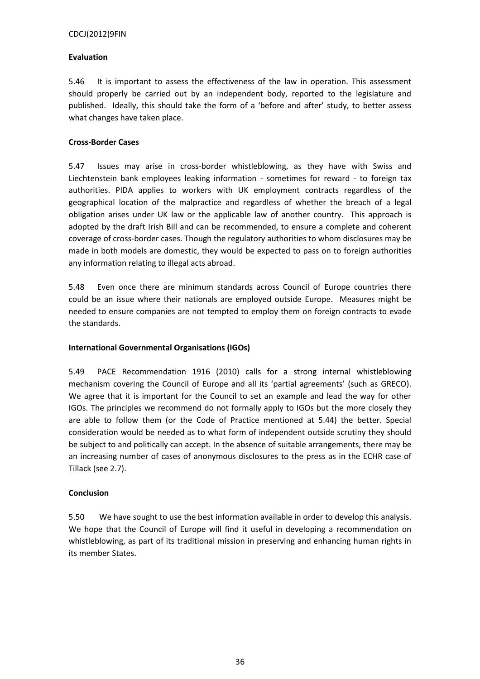## **Evaluation**

5.46 It is important to assess the effectiveness of the law in operation. This assessment should properly be carried out by an independent body, reported to the legislature and published. Ideally, this should take the form of a 'before and after' study, to better assess what changes have taken place.

# **Cross-Border Cases**

5.47 Issues may arise in cross-border whistleblowing, as they have with Swiss and Liechtenstein bank employees leaking information - sometimes for reward - to foreign tax authorities. PIDA applies to workers with UK employment contracts regardless of the geographical location of the malpractice and regardless of whether the breach of a legal obligation arises under UK law or the applicable law of another country. This approach is adopted by the draft Irish Bill and can be recommended, to ensure a complete and coherent coverage of cross-border cases. Though the regulatory authorities to whom disclosures may be made in both models are domestic, they would be expected to pass on to foreign authorities any information relating to illegal acts abroad.

5.48 Even once there are minimum standards across Council of Europe countries there could be an issue where their nationals are employed outside Europe. Measures might be needed to ensure companies are not tempted to employ them on foreign contracts to evade the standards.

## **International Governmental Organisations (IGOs)**

5.49 PACE Recommendation 1916 (2010) calls for a strong internal whistleblowing mechanism covering the Council of Europe and all its 'partial agreements' (such as GRECO). We agree that it is important for the Council to set an example and lead the way for other IGOs. The principles we recommend do not formally apply to IGOs but the more closely they are able to follow them (or the Code of Practice mentioned at 5.44) the better. Special consideration would be needed as to what form of independent outside scrutiny they should be subject to and politically can accept. In the absence of suitable arrangements, there may be an increasing number of cases of anonymous disclosures to the press as in the ECHR case of Tillack (see 2.7).

# **Conclusion**

5.50 We have sought to use the best information available in order to develop this analysis. We hope that the Council of Europe will find it useful in developing a recommendation on whistleblowing, as part of its traditional mission in preserving and enhancing human rights in its member States.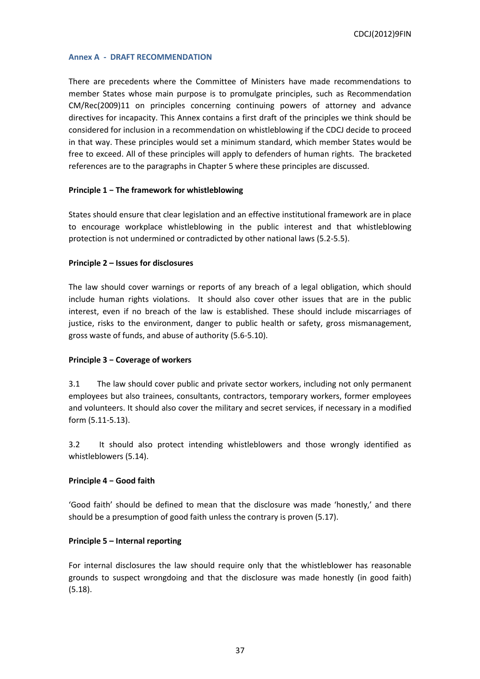#### <span id="page-36-0"></span>**Annex A - DRAFT RECOMMENDATION**

There are precedents where the Committee of Ministers have made recommendations to member States whose main purpose is to promulgate principles, such as Recommendation CM/Rec(2009)11 on principles concerning continuing powers of attorney and advance directives for incapacity. This Annex contains a first draft of the principles we think should be considered for inclusion in a recommendation on whistleblowing if the CDCJ decide to proceed in that way. These principles would set a minimum standard, which member States would be free to exceed. All of these principles will apply to defenders of human rights. The bracketed references are to the paragraphs in Chapter 5 where these principles are discussed.

#### **Principle 1 − The framework for whistleblowing**

States should ensure that clear legislation and an effective institutional framework are in place to encourage workplace whistleblowing in the public interest and that whistleblowing protection is not undermined or contradicted by other national laws (5.2-5.5).

#### **Principle 2 – Issues for disclosures**

The law should cover warnings or reports of any breach of a legal obligation, which should include human rights violations. It should also cover other issues that are in the public interest, even if no breach of the law is established. These should include miscarriages of justice, risks to the environment, danger to public health or safety, gross mismanagement, gross waste of funds, and abuse of authority (5.6-5.10).

## **Principle 3 − Coverage of workers**

3.1 The law should cover public and private sector workers, including not only permanent employees but also trainees, consultants, contractors, temporary workers, former employees and volunteers. It should also cover the military and secret services, if necessary in a modified form (5.11-5.13).

3.2 It should also protect intending whistleblowers and those wrongly identified as whistleblowers (5.14).

## **Principle 4 − Good faith**

'Good faith' should be defined to mean that the disclosure was made 'honestly,' and there should be a presumption of good faith unless the contrary is proven (5.17).

## **Principle 5 – Internal reporting**

For internal disclosures the law should require only that the whistleblower has reasonable grounds to suspect wrongdoing and that the disclosure was made honestly (in good faith) (5.18).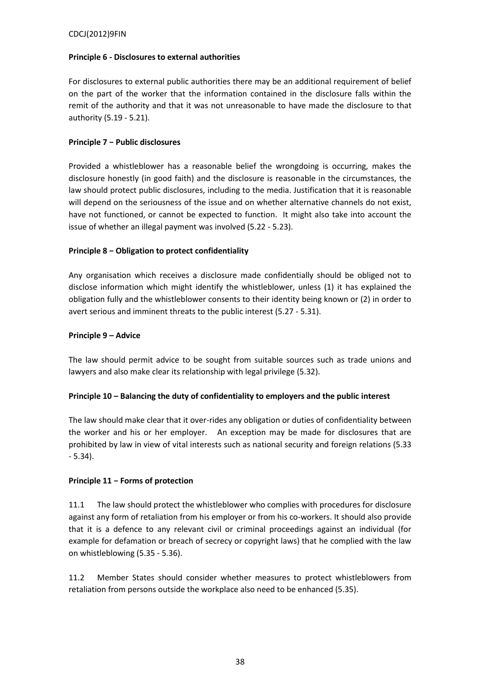## **Principle 6 - Disclosures to external authorities**

For disclosures to external public authorities there may be an additional requirement of belief on the part of the worker that the information contained in the disclosure falls within the remit of the authority and that it was not unreasonable to have made the disclosure to that authority (5.19 - 5.21).

## **Principle 7 − Public disclosures**

Provided a whistleblower has a reasonable belief the wrongdoing is occurring, makes the disclosure honestly (in good faith) and the disclosure is reasonable in the circumstances, the law should protect public disclosures, including to the media. Justification that it is reasonable will depend on the seriousness of the issue and on whether alternative channels do not exist, have not functioned, or cannot be expected to function. It might also take into account the issue of whether an illegal payment was involved (5.22 - 5.23).

# **Principle 8 − Obligation to protect confidentiality**

Any organisation which receives a disclosure made confidentially should be obliged not to disclose information which might identify the whistleblower, unless (1) it has explained the obligation fully and the whistleblower consents to their identity being known or (2) in order to avert serious and imminent threats to the public interest (5.27 - 5.31).

## **Principle 9 – Advice**

The law should permit advice to be sought from suitable sources such as trade unions and lawyers and also make clear its relationship with legal privilege (5.32).

## **Principle 10 – Balancing the duty of confidentiality to employers and the public interest**

The law should make clear that it over-rides any obligation or duties of confidentiality between the worker and his or her employer. An exception may be made for disclosures that are prohibited by law in view of vital interests such as national security and foreign relations (5.33 - 5.34).

# **Principle 11 − Forms of protection**

11.1 The law should protect the whistleblower who complies with procedures for disclosure against any form of retaliation from his employer or from his co-workers. It should also provide that it is a defence to any relevant civil or criminal proceedings against an individual (for example for defamation or breach of secrecy or copyright laws) that he complied with the law on whistleblowing (5.35 - 5.36).

11.2 Member States should consider whether measures to protect whistleblowers from retaliation from persons outside the workplace also need to be enhanced (5.35).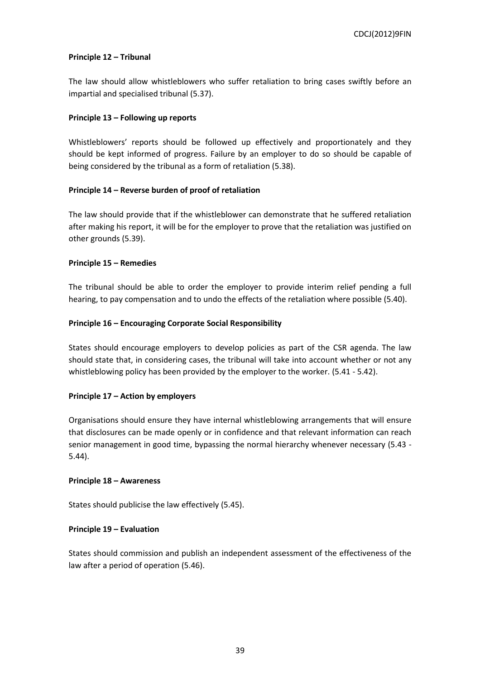## **Principle 12 – Tribunal**

The law should allow whistleblowers who suffer retaliation to bring cases swiftly before an impartial and specialised tribunal (5.37).

## **Principle 13 – Following up reports**

Whistleblowers' reports should be followed up effectively and proportionately and they should be kept informed of progress. Failure by an employer to do so should be capable of being considered by the tribunal as a form of retaliation (5.38).

# **Principle 14 – Reverse burden of proof of retaliation**

The law should provide that if the whistleblower can demonstrate that he suffered retaliation after making his report, it will be for the employer to prove that the retaliation was justified on other grounds (5.39).

# **Principle 15 – Remedies**

The tribunal should be able to order the employer to provide interim relief pending a full hearing, to pay compensation and to undo the effects of the retaliation where possible (5.40).

# **Principle 16 – Encouraging Corporate Social Responsibility**

States should encourage employers to develop policies as part of the CSR agenda. The law should state that, in considering cases, the tribunal will take into account whether or not any whistleblowing policy has been provided by the employer to the worker. (5.41 - 5.42).

## **Principle 17 – Action by employers**

Organisations should ensure they have internal whistleblowing arrangements that will ensure that disclosures can be made openly or in confidence and that relevant information can reach senior management in good time, bypassing the normal hierarchy whenever necessary (5.43 - 5.44).

## **Principle 18 – Awareness**

States should publicise the law effectively (5.45).

# **Principle 19 – Evaluation**

States should commission and publish an independent assessment of the effectiveness of the law after a period of operation (5.46).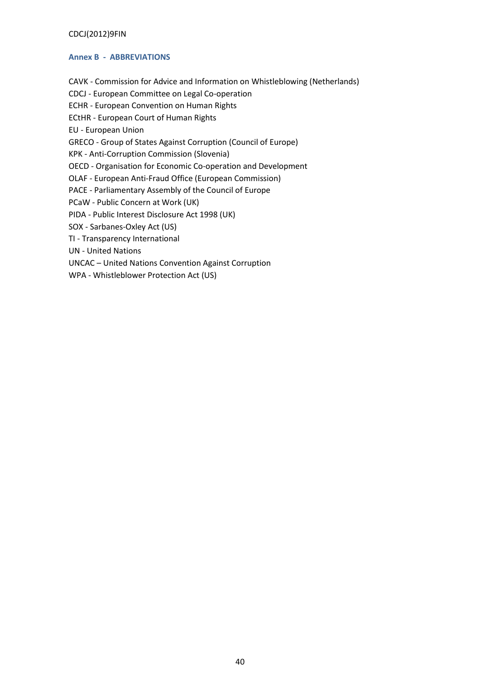## <span id="page-39-0"></span>**Annex B - ABBREVIATIONS**

CAVK - Commission for Advice and Information on Whistleblowing (Netherlands)

CDCJ - European Committee on Legal Co-operation

ECHR - European Convention on Human Rights

ECtHR - European Court of Human Rights

EU - European Union

GRECO - Group of States Against Corruption (Council of Europe)

KPK - Anti-Corruption Commission (Slovenia)

OECD - Organisation for Economic Co-operation and Development

OLAF - European Anti-Fraud Office (European Commission)

PACE - Parliamentary Assembly of the Council of Europe

PCaW - Public Concern at Work (UK)

PIDA - Public Interest Disclosure Act 1998 (UK)

SOX - Sarbanes-Oxley Act (US)

TI - Transparency International

UN - United Nations

UNCAC – United Nations Convention Against Corruption

WPA - Whistleblower Protection Act (US)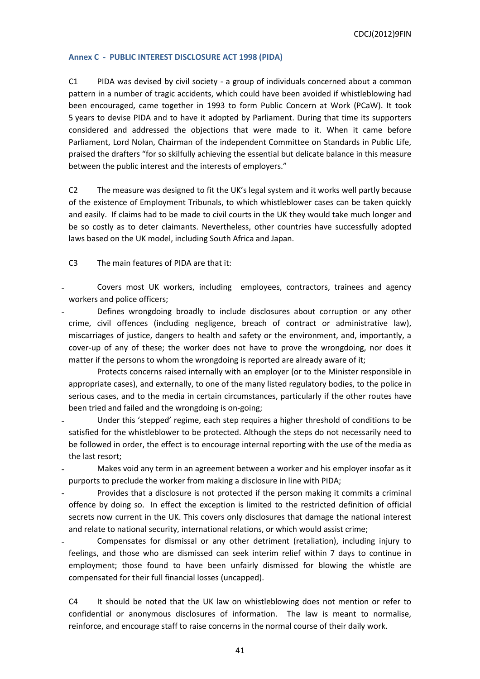## <span id="page-40-0"></span>**Annex C - PUBLIC INTEREST DISCLOSURE ACT 1998 (PIDA)**

C1 PIDA was devised by civil society - a group of individuals concerned about a common pattern in a number of tragic accidents, which could have been avoided if whistleblowing had been encouraged, came together in 1993 to form Public Concern at Work (PCaW). It took 5 years to devise PIDA and to have it adopted by Parliament. During that time its supporters considered and addressed the objections that were made to it. When it came before Parliament, Lord Nolan, Chairman of the independent Committee on Standards in Public Life, praised the drafters "for so skilfully achieving the essential but delicate balance in this measure between the public interest and the interests of employers."

C2 The measure was designed to fit the UK's legal system and it works well partly because of the existence of Employment Tribunals, to which whistleblower cases can be taken quickly and easily. If claims had to be made to civil courts in the UK they would take much longer and be so costly as to deter claimants. Nevertheless, other countries have successfully adopted laws based on the UK model, including South Africa and Japan.

C3 The main features of PIDA are that it:

- Covers most UK workers, including employees, contractors, trainees and agency workers and police officers;
- Defines wrongdoing broadly to include disclosures about corruption or any other crime, civil offences (including negligence, breach of contract or administrative law), miscarriages of justice, dangers to health and safety or the environment, and, importantly, a cover-up of any of these; the worker does not have to prove the wrongdoing, nor does it matter if the persons to whom the wrongdoing is reported are already aware of it;
- Protects concerns raised internally with an employer (or to the Minister responsible in appropriate cases), and externally, to one of the many listed regulatory bodies, to the police in serious cases, and to the media in certain circumstances, particularly if the other routes have been tried and failed and the wrongdoing is on-going;
- Under this 'stepped' regime, each step requires a higher threshold of conditions to be satisfied for the whistleblower to be protected. Although the steps do not necessarily need to be followed in order, the effect is to encourage internal reporting with the use of the media as the last resort;
- Makes void any term in an agreement between a worker and his employer insofar as it purports to preclude the worker from making a disclosure in line with PIDA;
- Provides that a disclosure is not protected if the person making it commits a criminal offence by doing so. In effect the exception is limited to the restricted definition of official secrets now current in the UK. This covers only disclosures that damage the national interest and relate to national security, international relations, or which would assist crime;
- Compensates for dismissal or any other detriment (retaliation), including injury to feelings, and those who are dismissed can seek interim relief within 7 days to continue in employment; those found to have been unfairly dismissed for blowing the whistle are compensated for their full financial losses (uncapped).

C4 It should be noted that the UK law on whistleblowing does not mention or refer to confidential or anonymous disclosures of information. The law is meant to normalise, reinforce, and encourage staff to raise concerns in the normal course of their daily work.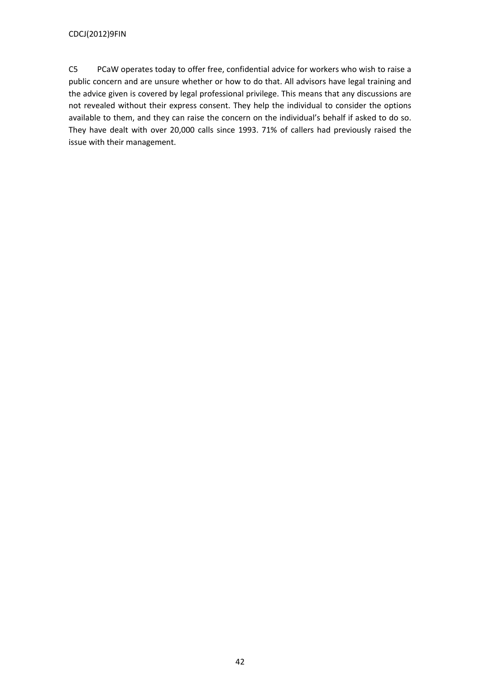C5 PCaW operates today to offer free, confidential advice for workers who wish to raise a public concern and are unsure whether or how to do that. All advisors have legal training and the advice given is covered by legal professional privilege. This means that any discussions are not revealed without their express consent. They help the individual to consider the options available to them, and they can raise the concern on the individual's behalf if asked to do so. They have dealt with over 20,000 calls since 1993. 71% of callers had previously raised the issue with their management.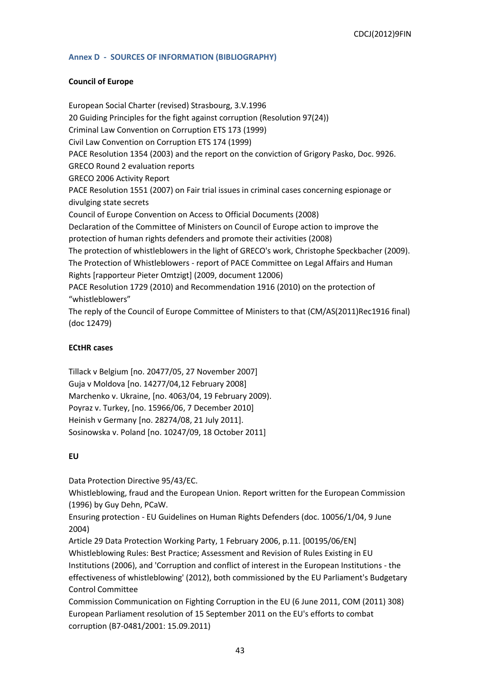## <span id="page-42-0"></span>**Annex D - SOURCES OF INFORMATION (BIBLIOGRAPHY)**

## **Council of Europe**

European Social Charter (revised) Strasbourg, 3.V.1996 20 Guiding Principles for the fight against corruption (Resolution 97(24)) Criminal Law Convention on Corruption ETS 173 (1999) Civil Law Convention on Corruption ETS 174 (1999) PACE Resolution 1354 (2003) and the report on the conviction of Grigory Pasko, Doc. 9926. GRECO Round 2 evaluation reports GRECO 2006 Activity Report PACE Resolution 1551 (2007) on Fair trial issues in criminal cases concerning espionage or divulging state secrets Council of Europe Convention on Access to Official Documents (2008) Declaration of the Committee of Ministers on Council of Europe action to improve the protection of human rights defenders and promote their activities (2008) The protection of whistleblowers in the light of GRECO's work, Christophe Speckbacher (2009). The Protection of Whistleblowers - report of PACE Committee on Legal Affairs and Human Rights [rapporteur Pieter Omtzigt] (2009, document 12006) PACE Resolution 1729 (2010) and Recommendation 1916 (2010) on the protection of "whistleblowers" The reply of the Council of Europe Committee of Ministers to that (CM/AS(2011)Rec1916 final) (doc 12479)

## **ECtHR cases**

Tillack v Belgium [no. 20477/05, 27 November 2007] Guja v Moldova [no. 14277/04,12 February 2008] Marchenko v. Ukraine, [no. 4063/04, 19 February 2009). Poyraz v. Turkey, [no. 15966/06, 7 December 2010] Heinish v Germany [no. 28274/08, 21 July 2011]. Sosinowska v. Poland [no. 10247/09, 18 October 2011]

#### **EU**

Data Protection Directive 95/43/EC.

Whistleblowing, fraud and the European Union. Report written for the European Commission (1996) by Guy Dehn, PCaW.

Ensuring protection - EU Guidelines on Human Rights Defenders (doc. 10056/1/04, 9 June 2004)

Article 29 Data Protection Working Party, 1 February 2006, p.11. [00195/06/EN] Whistleblowing Rules: Best Practice; Assessment and Revision of Rules Existing in EU Institutions (2006), and 'Corruption and conflict of interest in the European Institutions - the effectiveness of whistleblowing' (2012), both commissioned by the EU Parliament's Budgetary Control Committee

Commission Communication on Fighting Corruption in the EU (6 June 2011, COM (2011) 308) European Parliament resolution of 15 September 2011 on the EU's efforts to combat corruption (B7-0481/2001: 15.09.2011)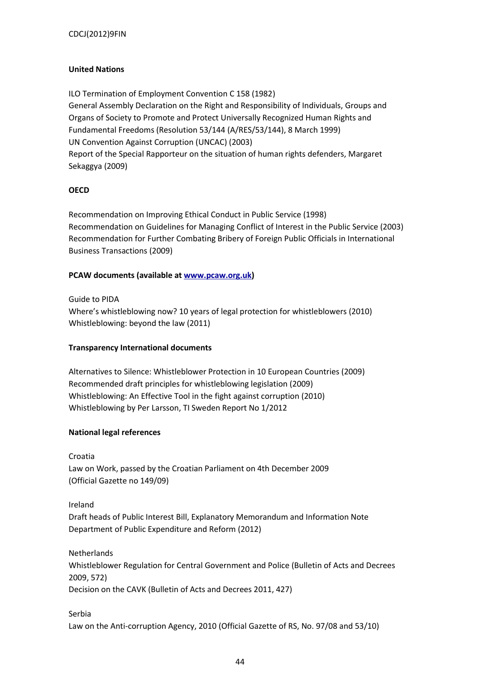## **United Nations**

ILO Termination of Employment Convention C 158 (1982) General Assembly Declaration on the Right and Responsibility of Individuals, Groups and Organs of Society to Promote and Protect Universally Recognized Human Rights and Fundamental Freedoms (Resolution 53/144 (A/RES/53/144), 8 March 1999) UN Convention Against Corruption (UNCAC) (2003) Report of the Special Rapporteur on the situation of human rights defenders, Margaret Sekaggya (2009)

## **OECD**

Recommendation on Improving Ethical Conduct in Public Service (1998) Recommendation on Guidelines for Managing Conflict of Interest in the Public Service (2003) Recommendation for Further Combating Bribery of Foreign Public Officials in International Business Transactions (2009)

## **PCAW documents (available at [www.pcaw.org.uk\)](http://www.pcaw.org.uk/)**

Guide to PIDA Where's whistleblowing now? 10 years of legal protection for whistleblowers (2010) Whistleblowing: beyond the law (2011)

## **Transparency International documents**

Alternatives to Silence: Whistleblower Protection in 10 European Countries (2009) Recommended draft principles for whistleblowing legislation (2009) Whistleblowing: An Effective Tool in the fight against corruption (2010) Whistleblowing by Per Larsson, TI Sweden Report No 1/2012

## **National legal references**

Croatia

Law on Work, passed by the Croatian Parliament on 4th December 2009 (Official Gazette no 149/09)

Ireland Draft heads of Public Interest Bill, Explanatory Memorandum and Information Note Department of Public Expenditure and Reform (2012)

Netherlands Whistleblower Regulation for Central Government and Police (Bulletin of Acts and Decrees 2009, 572) Decision on the CAVK (Bulletin of Acts and Decrees 2011, 427)

Serbia Law on the Anti-corruption Agency, 2010 (Official Gazette of RS, No. 97/08 and 53/10)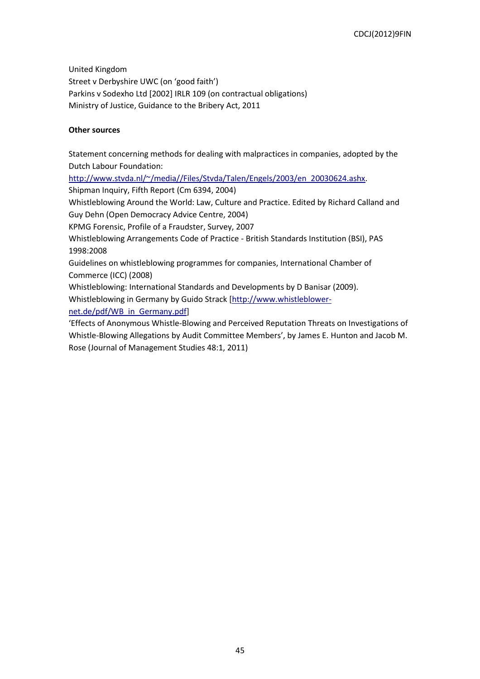United Kingdom Street v Derbyshire UWC (on 'good faith') Parkins v Sodexho Ltd [2002] IRLR 109 (on contractual obligations) Ministry of Justice, Guidance to the Bribery Act, 2011

## **Other sources**

Statement concerning methods for dealing with malpractices in companies, adopted by the Dutch Labour Foundation:

[http://www.stvda.nl/~/media//Files/Stvda/Talen/Engels/2003/en\\_20030624.ashx.](http://www.stvda.nl/~/media/Files/Stvda/Talen/Engels/2003/en_20030624.ashx)

Shipman Inquiry, Fifth Report (Cm 6394, 2004)

Whistleblowing Around the World: Law, Culture and Practice. Edited by Richard Calland and Guy Dehn (Open Democracy Advice Centre, 2004)

KPMG Forensic, Profile of a Fraudster, Survey, 2007

Whistleblowing Arrangements Code of Practice - British Standards Institution (BSI), PAS 1998:2008

Guidelines on whistleblowing programmes for companies, International Chamber of Commerce (ICC) (2008)

Whistleblowing: International Standards and Developments by D Banisar (2009).

Whistleblowing in Germany by Guido Strack [\[http://www.whistleblower-](http://www.whistleblower-net.de/pdf/WB_in_Germany.pdf)

[net.de/pdf/WB\\_in\\_Germany.pdf\]](http://www.whistleblower-net.de/pdf/WB_in_Germany.pdf)

'Effects of Anonymous Whistle-Blowing and Perceived Reputation Threats on Investigations of Whistle-Blowing Allegations by Audit Committee Members', by James E. Hunton and Jacob M. Rose (Journal of Management Studies 48:1, 2011)